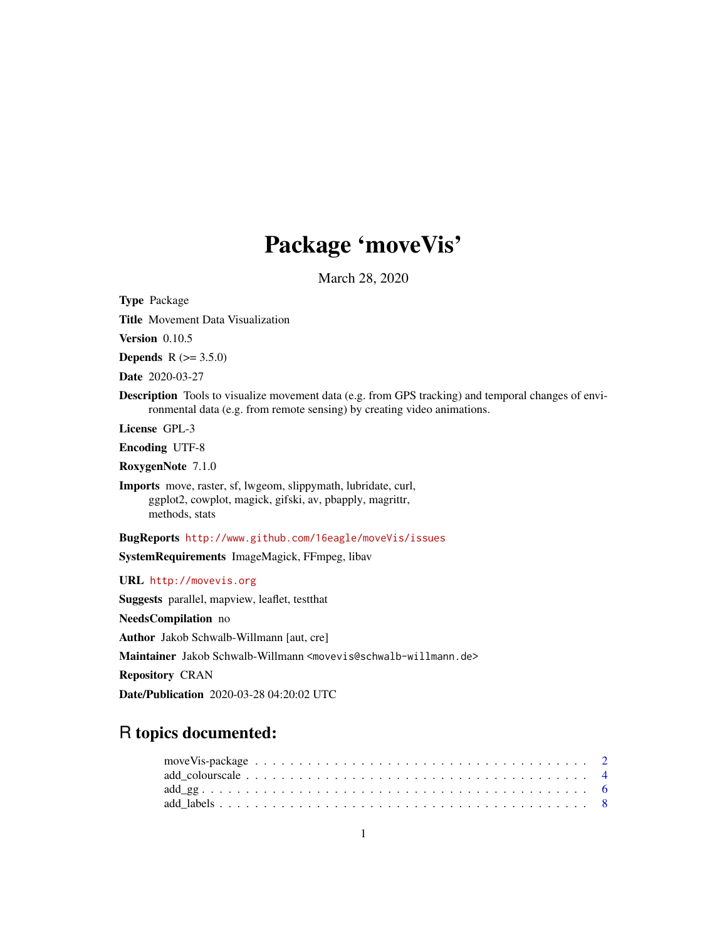# Package 'moveVis'

March 28, 2020

<span id="page-0-0"></span>Type Package

Title Movement Data Visualization

Version 0.10.5

**Depends** R  $(>= 3.5.0)$ 

Date 2020-03-27

Description Tools to visualize movement data (e.g. from GPS tracking) and temporal changes of environmental data (e.g. from remote sensing) by creating video animations.

License GPL-3

Encoding UTF-8

RoxygenNote 7.1.0

Imports move, raster, sf, lwgeom, slippymath, lubridate, curl, ggplot2, cowplot, magick, gifski, av, pbapply, magrittr, methods, stats

BugReports <http://www.github.com/16eagle/moveVis/issues>

SystemRequirements ImageMagick, FFmpeg, libav

URL <http://movevis.org>

Suggests parallel, mapview, leaflet, testthat

NeedsCompilation no

Author Jakob Schwalb-Willmann [aut, cre]

Maintainer Jakob Schwalb-Willmann <movevis@schwalb-willmann.de>

Repository CRAN

Date/Publication 2020-03-28 04:20:02 UTC

# R topics documented:

| $add\_gg$ 6 |  |  |  |  |  |  |  |  |  |  |  |  |  |  |  |  |  |  |  |
|-------------|--|--|--|--|--|--|--|--|--|--|--|--|--|--|--|--|--|--|--|
|             |  |  |  |  |  |  |  |  |  |  |  |  |  |  |  |  |  |  |  |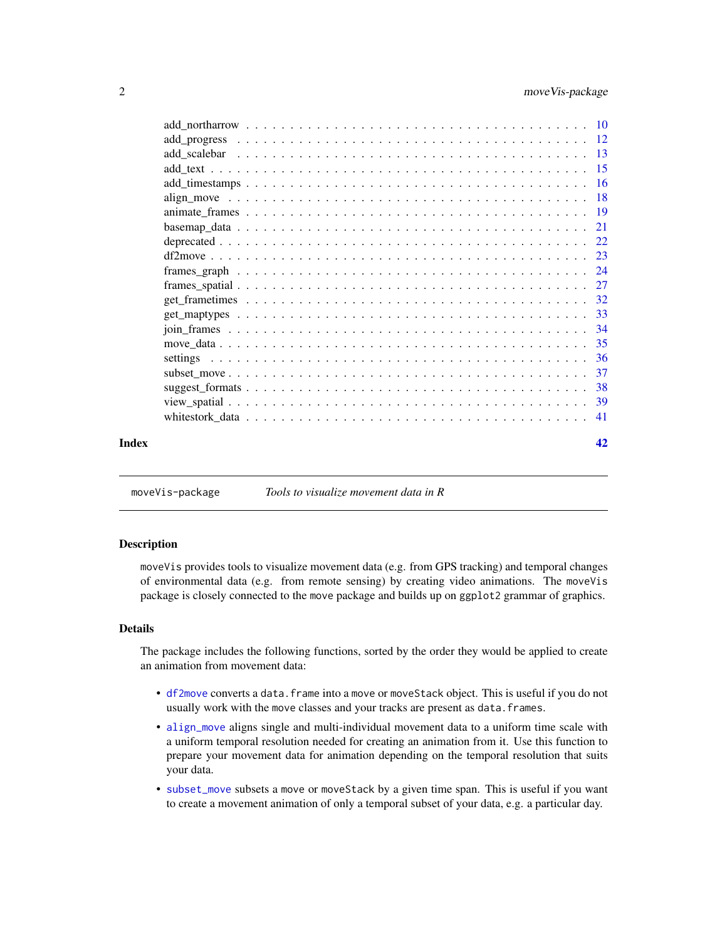<span id="page-1-0"></span>

| Index | 42 |
|-------|----|

moveVis-package *Tools to visualize movement data in R*

#### Description

moveVis provides tools to visualize movement data (e.g. from GPS tracking) and temporal changes of environmental data (e.g. from remote sensing) by creating video animations. The moveVis package is closely connected to the move package and builds up on ggplot2 grammar of graphics.

#### Details

The package includes the following functions, sorted by the order they would be applied to create an animation from movement data:

- [df2move](#page-22-1) converts a data.frame into a move or moveStack object. This is useful if you do not usually work with the move classes and your tracks are present as data.frames.
- [align\\_move](#page-17-1) aligns single and multi-individual movement data to a uniform time scale with a uniform temporal resolution needed for creating an animation from it. Use this function to prepare your movement data for animation depending on the temporal resolution that suits your data.
- [subset\\_move](#page-36-1) subsets a move or moveStack by a given time span. This is useful if you want to create a movement animation of only a temporal subset of your data, e.g. a particular day.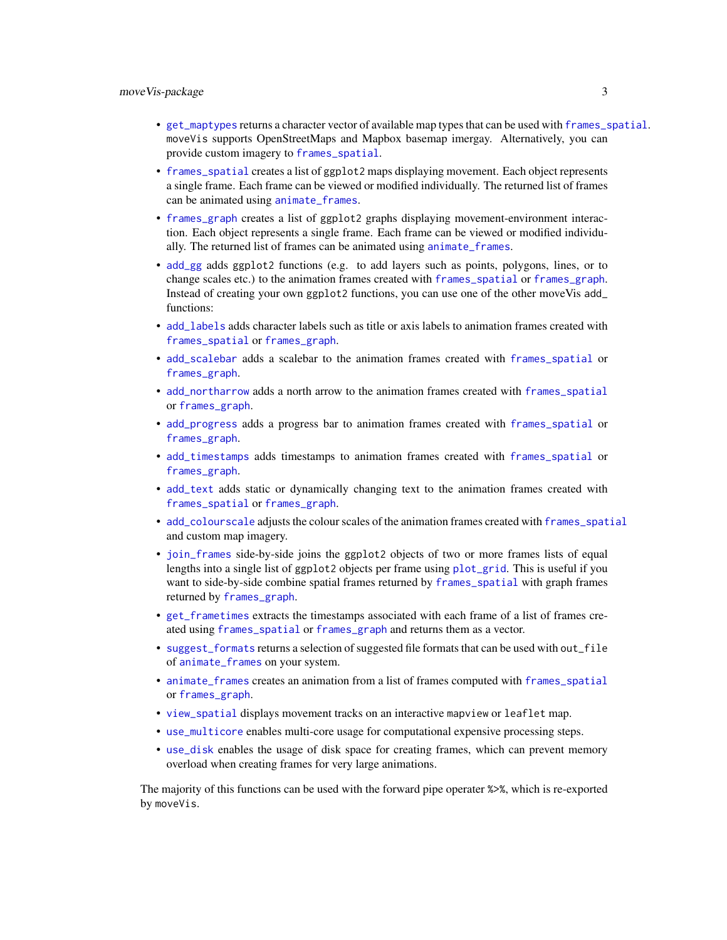- <span id="page-2-0"></span>• [get\\_maptypes](#page-32-1) returns a character vector of available map types that can be used with [frames\\_spatial](#page-26-1). moveVis supports OpenStreetMaps and Mapbox basemap imergay. Alternatively, you can provide custom imagery to [frames\\_spatial](#page-26-1).
- [frames\\_spatial](#page-26-1) creates a list of ggplot2 maps displaying movement. Each object represents a single frame. Each frame can be viewed or modified individually. The returned list of frames can be animated using [animate\\_frames](#page-18-1).
- [frames\\_graph](#page-23-1) creates a list of ggplot2 graphs displaying movement-environment interaction. Each object represents a single frame. Each frame can be viewed or modified individually. The returned list of frames can be animated using [animate\\_frames](#page-18-1).
- [add\\_gg](#page-5-1) adds ggplot2 functions (e.g. to add layers such as points, polygons, lines, or to change scales etc.) to the animation frames created with [frames\\_spatial](#page-26-1) or [frames\\_graph](#page-23-1). Instead of creating your own ggplot2 functions, you can use one of the other moveVis add\_ functions:
- [add\\_labels](#page-7-1) adds character labels such as title or axis labels to animation frames created with [frames\\_spatial](#page-26-1) or [frames\\_graph](#page-23-1).
- [add\\_scalebar](#page-12-1) adds a scalebar to the animation frames created with [frames\\_spatial](#page-26-1) or [frames\\_graph](#page-23-1).
- [add\\_northarrow](#page-9-1) adds a north arrow to the animation frames created with [frames\\_spatial](#page-26-1) or [frames\\_graph](#page-23-1).
- [add\\_progress](#page-11-1) adds a progress bar to animation frames created with [frames\\_spatial](#page-26-1) or [frames\\_graph](#page-23-1).
- [add\\_timestamps](#page-15-1) adds timestamps to animation frames created with [frames\\_spatial](#page-26-1) or [frames\\_graph](#page-23-1).
- [add\\_text](#page-14-1) adds static or dynamically changing text to the animation frames created with [frames\\_spatial](#page-26-1) or [frames\\_graph](#page-23-1).
- [add\\_colourscale](#page-3-1) adjusts the colour scales of the animation frames created with [frames\\_spatial](#page-26-1) and custom map imagery.
- [join\\_frames](#page-33-1) side-by-side joins the ggplot2 objects of two or more frames lists of equal lengths into a single list of ggplot2 objects per frame using [plot\\_grid](#page-0-0). This is useful if you want to side-by-side combine spatial frames returned by [frames\\_spatial](#page-26-1) with graph frames returned by [frames\\_graph](#page-23-1).
- [get\\_frametimes](#page-31-1) extracts the timestamps associated with each frame of a list of frames created using [frames\\_spatial](#page-26-1) or [frames\\_graph](#page-23-1) and returns them as a vector.
- [suggest\\_formats](#page-37-1) returns a selection of suggested file formats that can be used with out\_file of [animate\\_frames](#page-18-1) on your system.
- [animate\\_frames](#page-18-1) creates an animation from a list of frames computed with [frames\\_spatial](#page-26-1) or [frames\\_graph](#page-23-1).
- [view\\_spatial](#page-38-1) displays movement tracks on an interactive mapview or leaflet map.
- [use\\_multicore](#page-35-1) enables multi-core usage for computational expensive processing steps.
- [use\\_disk](#page-35-1) enables the usage of disk space for creating frames, which can prevent memory overload when creating frames for very large animations.

The majority of this functions can be used with the forward pipe operater %>%, which is re-exported by moveVis.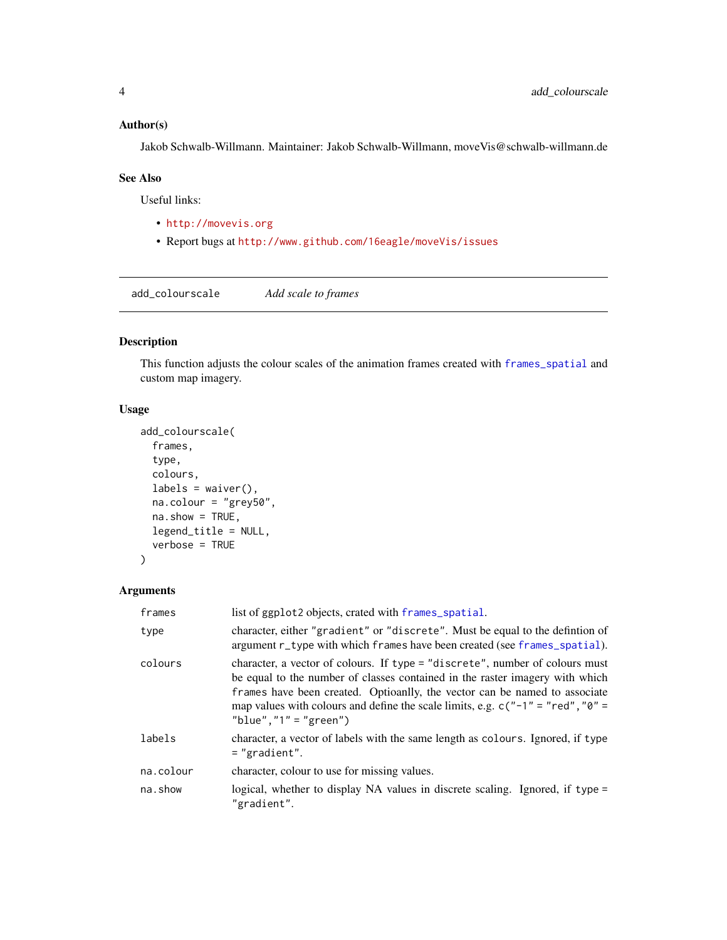# <span id="page-3-0"></span>Author(s)

Jakob Schwalb-Willmann. Maintainer: Jakob Schwalb-Willmann, moveVis@schwalb-willmann.de

### See Also

Useful links:

- <http://movevis.org>
- Report bugs at <http://www.github.com/16eagle/moveVis/issues>

<span id="page-3-1"></span>add\_colourscale *Add scale to frames*

# Description

This function adjusts the colour scales of the animation frames created with [frames\\_spatial](#page-26-1) and custom map imagery.

# Usage

```
add_colourscale(
  frames,
  type,
 colours,
 labels = waiver(),
 na.colour = "grey50",
 na.show = TRUE,legend_title = NULL,
  verbose = TRUE
)
```
## Arguments

| frames    | list of ggplot2 objects, crated with frames_spatial.                                                                                                                                                                                                                                                                                                          |
|-----------|---------------------------------------------------------------------------------------------------------------------------------------------------------------------------------------------------------------------------------------------------------------------------------------------------------------------------------------------------------------|
| type      | character, either "gradient" or "discrete". Must be equal to the defintion of<br>argument r_type with which frames have been created (see frames_spatial).                                                                                                                                                                                                    |
| colours   | character, a vector of colours. If type = "discrete", number of colours must<br>be equal to the number of classes contained in the raster imagery with which<br>frames have been created. Optioanlly, the vector can be named to associate<br>map values with colours and define the scale limits, e.g. $c("-1" = "red", "0" =$<br>"blue", " $1" = "green"$ ) |
| labels    | character, a vector of labels with the same length as colours. Ignored, if type<br>$=$ "gradient".                                                                                                                                                                                                                                                            |
| na.colour | character, colour to use for missing values.                                                                                                                                                                                                                                                                                                                  |
| na.show   | logical, whether to display NA values in discrete scaling. Ignored, if type =<br>"gradient".                                                                                                                                                                                                                                                                  |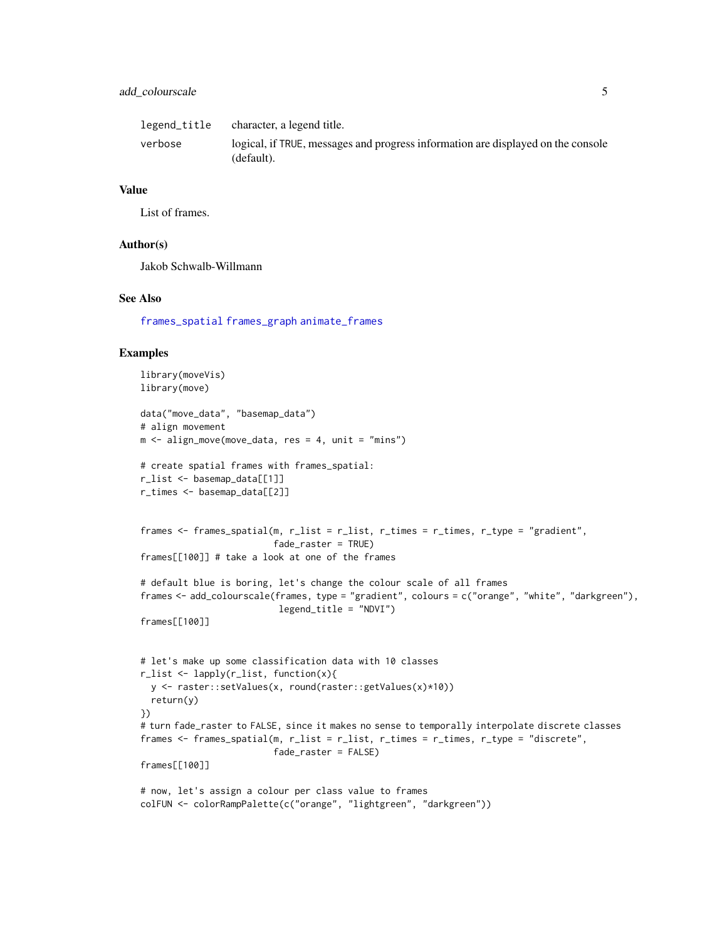# <span id="page-4-0"></span>add\_colourscale 5

| legend_title | character, a legend title.                                                                     |
|--------------|------------------------------------------------------------------------------------------------|
| verbose      | logical, if TRUE, messages and progress information are displayed on the console<br>(default). |

#### Value

List of frames.

#### Author(s)

Jakob Schwalb-Willmann

#### See Also

[frames\\_spatial](#page-26-1) [frames\\_graph](#page-23-1) [animate\\_frames](#page-18-1)

```
library(moveVis)
library(move)
data("move_data", "basemap_data")
# align movement
m \leq -align_move(move_data, res = 4, unit = "mins")# create spatial frames with frames_spatial:
r_list <- basemap_data[[1]]
r_times <- basemap_data[[2]]
frames <- frames_spatial(m, r_list = r_list, r_times = r_times, r_type = "gradient",
                         fade_raster = TRUE)
frames[[100]] # take a look at one of the frames
# default blue is boring, let's change the colour scale of all frames
frames <- add_colourscale(frames, type = "gradient", colours = c("orange", "white", "darkgreen"),
                          legend_title = "NDVI")
frames[[100]]
# let's make up some classification data with 10 classes
r_list <- lapply(r_list, function(x){
  y <- raster::setValues(x, round(raster::getValues(x)*10))
  return(y)
})
# turn fade_raster to FALSE, since it makes no sense to temporally interpolate discrete classes
frames <- frames_spatial(m, r_list = r_list, r_times = r_times, r_type = "discrete",
                         fade_raster = FALSE)
frames[[100]]
# now, let's assign a colour per class value to frames
colFUN <- colorRampPalette(c("orange", "lightgreen", "darkgreen"))
```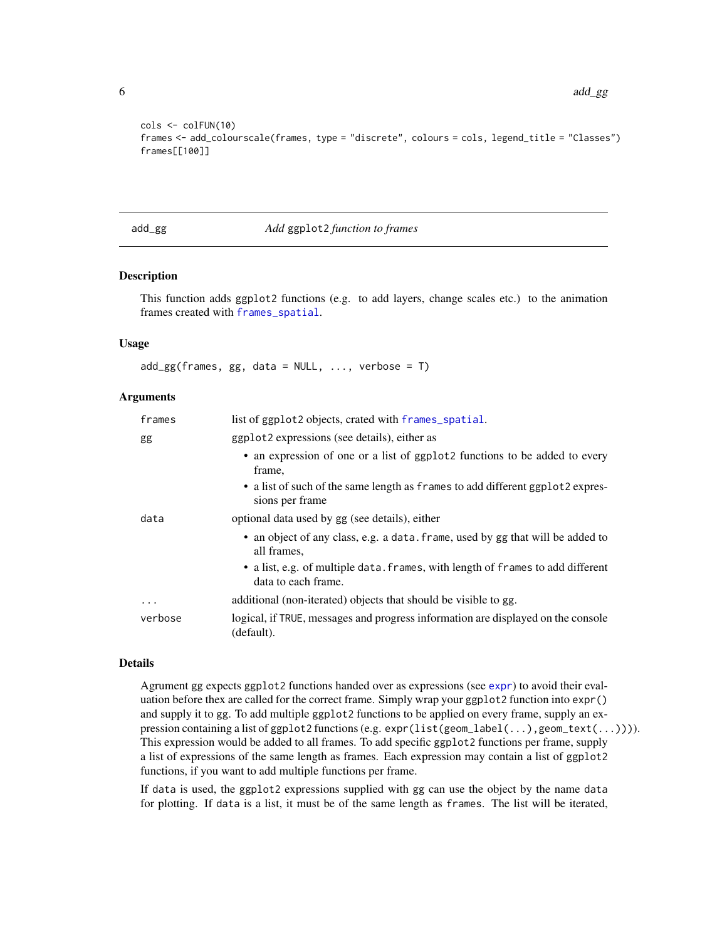```
cols <- colFUN(10)
frames <- add_colourscale(frames, type = "discrete", colours = cols, legend_title = "Classes")
frames[[100]]
```
#### <span id="page-5-1"></span>add\_gg *Add* ggplot2 *function to frames*

#### Description

This function adds ggplot2 functions (e.g. to add layers, change scales etc.) to the animation frames created with [frames\\_spatial](#page-26-1).

#### Usage

 $add\_gg(frames, gg, data = NULL, ..., verbose = T)$ 

#### **Arguments**

| frames  | list of ggplot2 objects, crated with frames_spatial.                                                   |
|---------|--------------------------------------------------------------------------------------------------------|
| gg      | ggplot2 expressions (see details), either as                                                           |
|         | • an expression of one or a list of ggplot2 functions to be added to every<br>frame.                   |
|         | • a list of such of the same length as frames to add different ggplot2 expres-<br>sions per frame      |
| data    | optional data used by gg (see details), either                                                         |
|         | • an object of any class, e.g. a data. frame, used by gg that will be added to<br>all frames.          |
|         | • a list, e.g. of multiple data. frames, with length of frames to add different<br>data to each frame. |
| .       | additional (non-iterated) objects that should be visible to gg.                                        |
| verbose | logical, if TRUE, messages and progress information are displayed on the console<br>(default).         |

#### Details

Agrument gg expects ggplot2 functions handed over as expressions (see [expr](#page-0-0)) to avoid their evaluation before thex are called for the correct frame. Simply wrap your ggplot2 function into expr() and supply it to gg. To add multiple ggplot2 functions to be applied on every frame, supply an expression containing a list of ggplot2 functions (e.g. expr(list(geom\_label(...),geom\_text(...)))). This expression would be added to all frames. To add specific ggplot2 functions per frame, supply a list of expressions of the same length as frames. Each expression may contain a list of ggplot2 functions, if you want to add multiple functions per frame.

If data is used, the ggplot2 expressions supplied with gg can use the object by the name data for plotting. If data is a list, it must be of the same length as frames. The list will be iterated,

<span id="page-5-0"></span>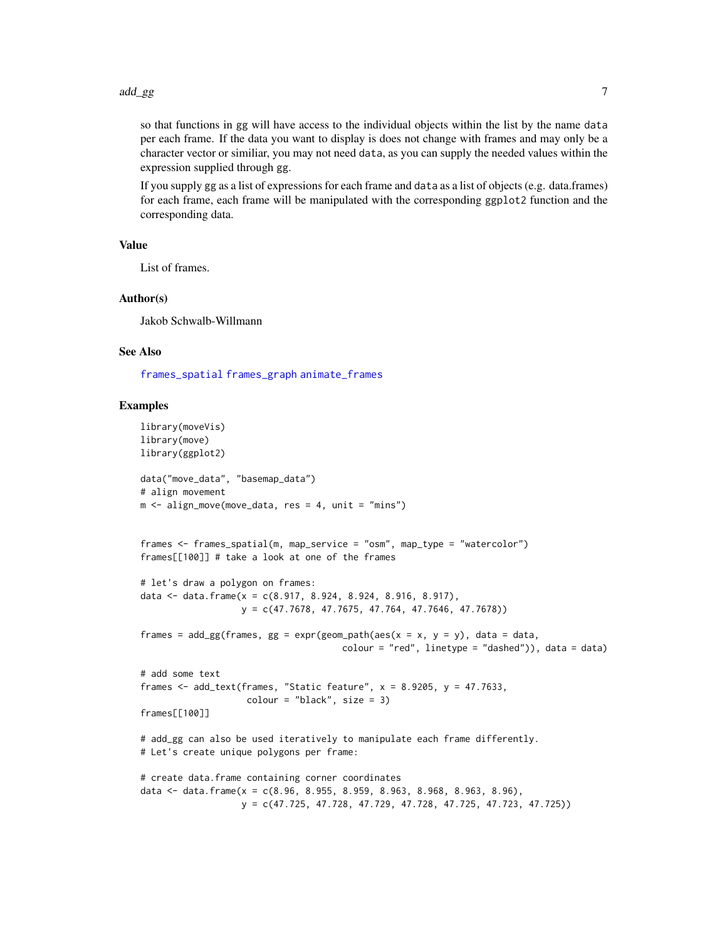<span id="page-6-0"></span>so that functions in gg will have access to the individual objects within the list by the name data per each frame. If the data you want to display is does not change with frames and may only be a character vector or similiar, you may not need data, as you can supply the needed values within the expression supplied through gg.

If you supply gg as a list of expressions for each frame and data as a list of objects (e.g. data.frames) for each frame, each frame will be manipulated with the corresponding ggplot2 function and the corresponding data.

#### Value

List of frames.

#### Author(s)

Jakob Schwalb-Willmann

#### See Also

[frames\\_spatial](#page-26-1) [frames\\_graph](#page-23-1) [animate\\_frames](#page-18-1)

```
library(moveVis)
library(move)
library(ggplot2)
data("move_data", "basemap_data")
# align movement
m \le - align_move(move_data, res = 4, unit = "mins")
frames <- frames_spatial(m, map_service = "osm", map_type = "watercolor")
frames[[100]] # take a look at one of the frames
# let's draw a polygon on frames:
data <- data.frame(x = c(8.917, 8.924, 8.924, 8.916, 8.917),
                   y = c(47.7678, 47.7675, 47.764, 47.7646, 47.7678))
frames = add\_gg(frames, gg = exp(r(geom_path(aes(x = x, y = y)), data = data,color = "red", linetype = "dashed")), data = data)
# add some text
frames \le add_text(frames, "Static feature", x = 8.9205, y = 47.7633,
                    colour = "black", size = 3)frames[[100]]
# add_gg can also be used iteratively to manipulate each frame differently.
# Let's create unique polygons per frame:
# create data.frame containing corner coordinates
data <- data.frame(x = c(8.96, 8.955, 8.959, 8.963, 8.968, 8.963, 8.96),
                   y = c(47.725, 47.728, 47.729, 47.728, 47.725, 47.723, 47.725))
```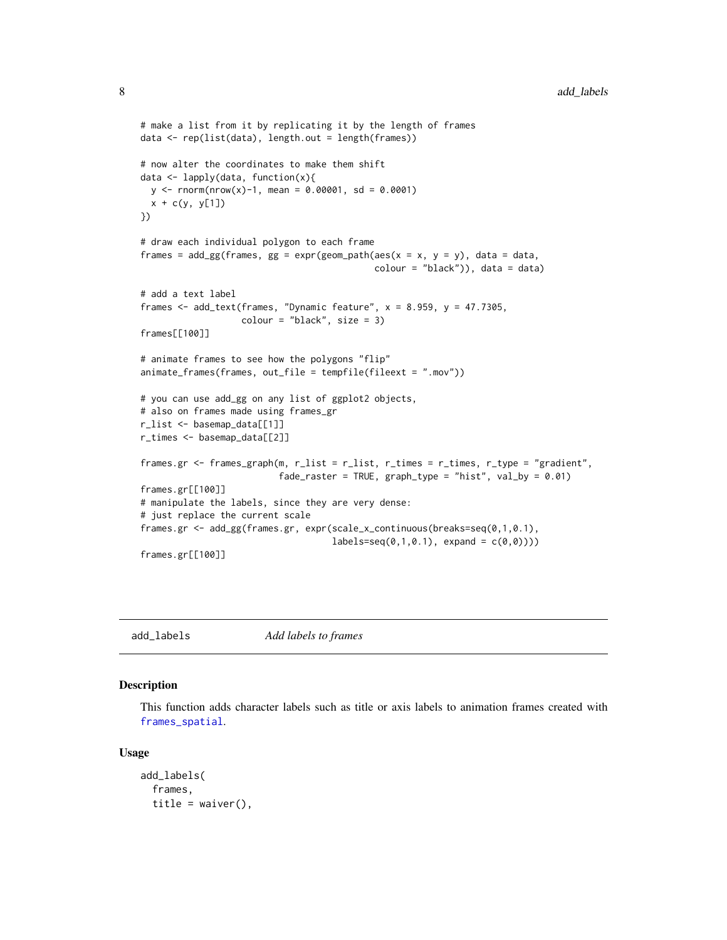```
# make a list from it by replicating it by the length of frames
data <- rep(list(data), length.out = length(frames))
# now alter the coordinates to make them shift
data <- lapply(data, function(x){
 y \le - rnorm(nrow(x)-1, mean = 0.00001, sd = 0.0001)
 x + c(y, y[1])})
# draw each individual polygon to each frame
frames = add\_gg(frames, gg = exp(r(geom_path(aes(x = x, y = y)), data = data,color = "black"), data = data)
# add a text label
frames \leq add_text(frames, "Dynamic feature", x = 8.959, y = 47.7305,
                   colour = "black", size = 3)
frames[[100]]
# animate frames to see how the polygons "flip"
animate_frames(frames, out_file = tempfile(fileext = ".mov"))
# you can use add_gg on any list of ggplot2 objects,
# also on frames made using frames_gr
r_list <- basemap_data[[1]]
r_times <- basemap_data[[2]]
frames.gr <- frames_graph(m, r_list = r_list, r_times = r_times, r_type = "gradient",
                          fade_raster = TRUE, graph_type = "hist", val_by = 0.01)frames.gr[[100]]
# manipulate the labels, since they are very dense:
# just replace the current scale
frames.gr <- add_gg(frames.gr, expr(scale_x_continuous(breaks=seq(0,1,0.1),
                                    labels = seq(0, 1, 0.1), expand = c(0, 0))))frames.gr[[100]]
```
<span id="page-7-1"></span>add\_labels *Add labels to frames*

# **Description**

This function adds character labels such as title or axis labels to animation frames created with [frames\\_spatial](#page-26-1).

#### Usage

```
add_labels(
  frames,
  title = waiver(),
```
<span id="page-7-0"></span>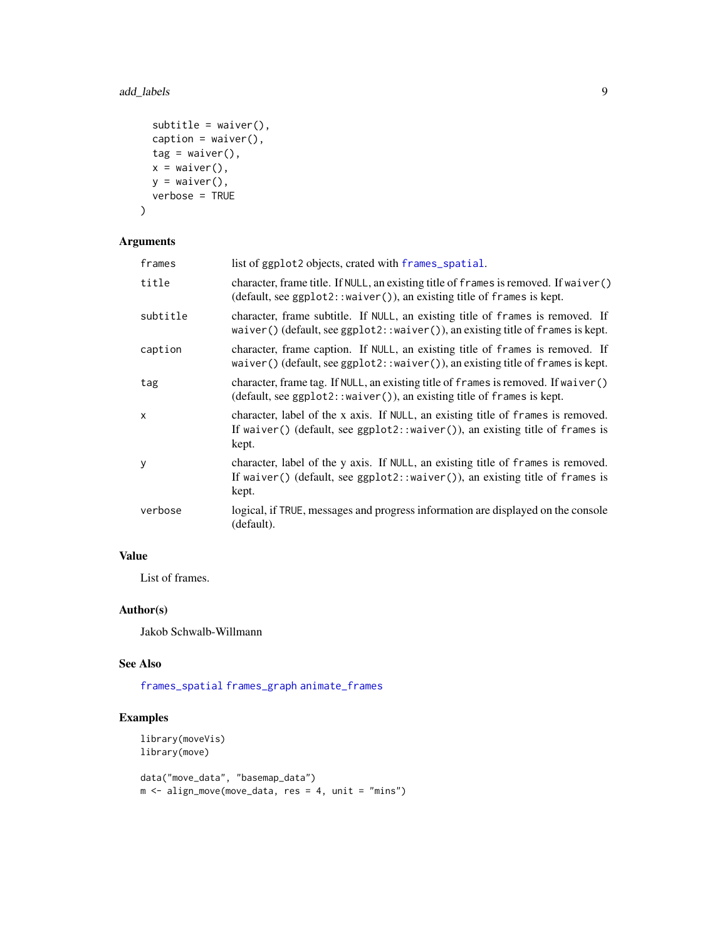# <span id="page-8-0"></span>add\_labels 9

```
subtitle = waiver(),
caption = waiver(),
tag = <math>waiver()</math>,x = \text{waiver}(),
y = \text{waiver}(),
verbose = TRUE
```
# Arguments

 $\mathcal{L}$ 

| frames   | list of ggplot2 objects, crated with frames_spatial.                                                                                                                          |
|----------|-------------------------------------------------------------------------------------------------------------------------------------------------------------------------------|
| title    | character, frame title. If NULL, an existing title of frames is removed. If waiver ()<br>$(default, see ggplot2::waiver(), an existing title of frames is kept.$              |
| subtitle | character, frame subtitle. If NULL, an existing title of frames is removed. If<br>waiver() (default, see $ggplot2$ : : waiver()), an existing title of frames is kept.        |
| caption  | character, frame caption. If NULL, an existing title of frames is removed. If<br>waiver() (default, see $ggplot2::waiver()$ ), an existing title of frames is kept.           |
| tag      | character, frame tag. If NULL, an existing title of frames is removed. If waiver()<br>$(default, see ggplot2::waiver$ ), an existing title of frames is kept.                 |
| X        | character, label of the x axis. If NULL, an existing title of frames is removed.<br>If waiver() (default, see $ggplot2$ : :waiver()), an existing title of frames is<br>kept. |
| У        | character, label of the y axis. If NULL, an existing title of frames is removed.<br>If waiver() (default, see ggplot2::waiver()), an existing title of frames is<br>kept.     |
| verbose  | logical, if TRUE, messages and progress information are displayed on the console<br>(default).                                                                                |

# Value

List of frames.

# Author(s)

Jakob Schwalb-Willmann

# See Also

[frames\\_spatial](#page-26-1) [frames\\_graph](#page-23-1) [animate\\_frames](#page-18-1)

```
library(moveVis)
library(move)
data("move_data", "basemap_data")
m \le align_move(move_data, res = 4, unit = "mins")
```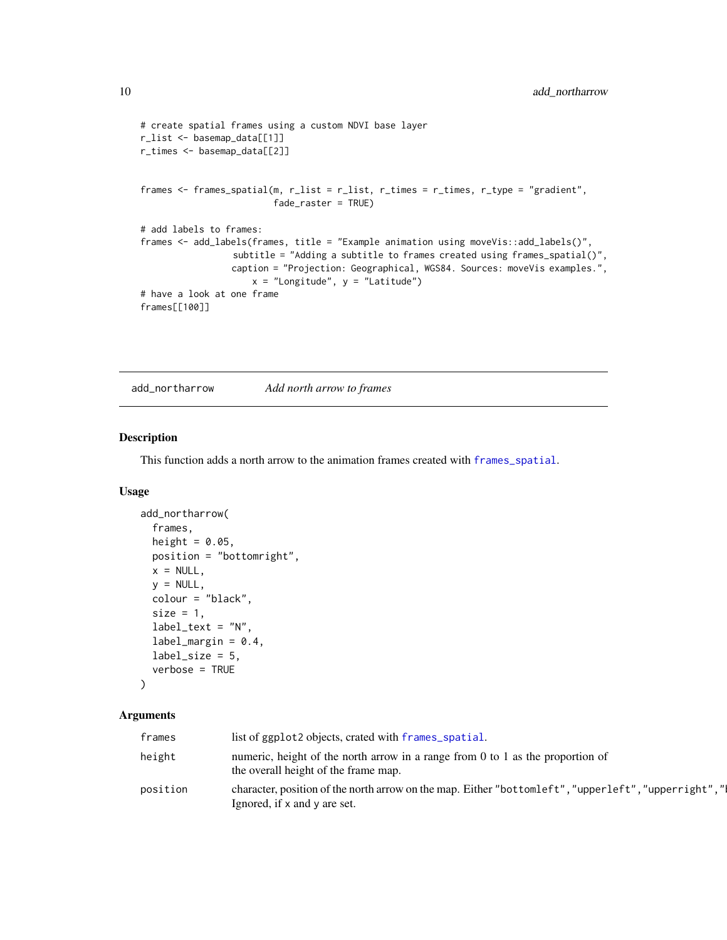```
# create spatial frames using a custom NDVI base layer
r_list <- basemap_data[[1]]
r_times <- basemap_data[[2]]
frames <- frames_spatial(m, r_list = r_list, r_times = r_times, r_type = "gradient",
                         fade_raster = TRUE)
# add labels to frames:
frames <- add_labels(frames, title = "Example animation using moveVis::add_labels()",
                 subtitle = "Adding a subtitle to frames created using frames_spatial()",
                 caption = "Projection: Geographical, WGS84. Sources: moveVis examples.",
                     x = "Longitude", y = "Latitude")# have a look at one frame
frames[[100]]
```
<span id="page-9-1"></span>add\_northarrow *Add north arrow to frames*

# Description

This function adds a north arrow to the animation frames created with [frames\\_spatial](#page-26-1).

#### Usage

```
add_northarrow(
  frames,
  height = 0.05,
  position = "bottomright",
  x = NULL,y = NULL,colour = "black",
  size = 1,
  label\_text = "N",label\_margin = 0.4,
  label\_size = 5,
  verbose = TRUE
)
```
#### Arguments

| frames   | list of ggplot2 objects, crated with frames_spatial.                                                                                  |
|----------|---------------------------------------------------------------------------------------------------------------------------------------|
| height   | numeric, height of the north arrow in a range from 0 to 1 as the proportion of<br>the overall height of the frame map.                |
| position | character, position of the north arrow on the map. Either "bottomleft", "upperleft", "upperright", "I<br>Ignored, if x and y are set. |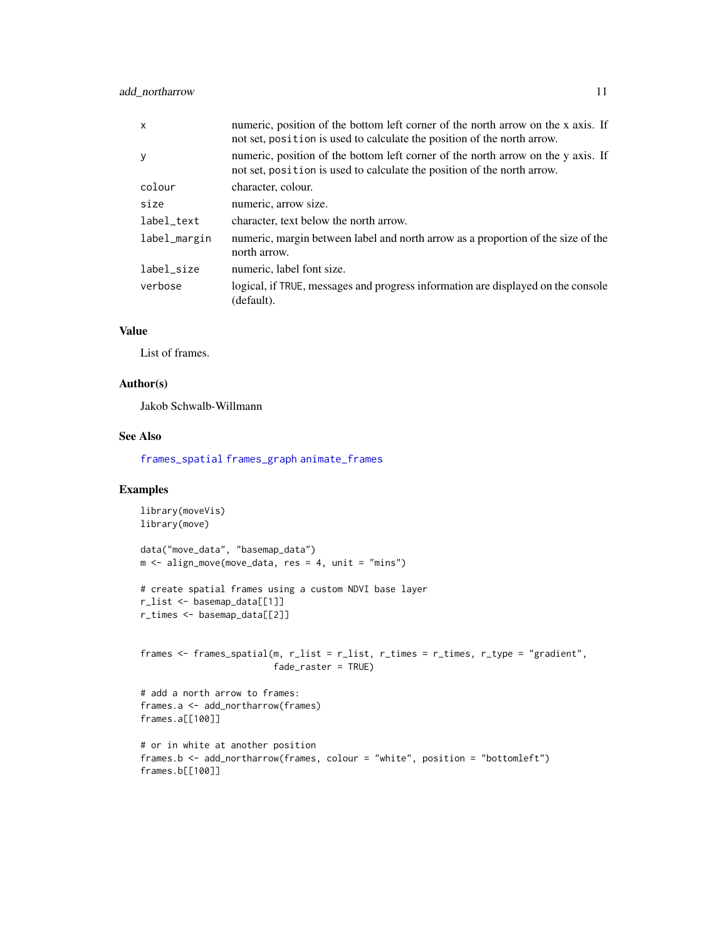# <span id="page-10-0"></span>add\_northarrow 11

| $\mathsf{x}$ | numeric, position of the bottom left corner of the north arrow on the x axis. If<br>not set, position is used to calculate the position of the north arrow. |
|--------------|-------------------------------------------------------------------------------------------------------------------------------------------------------------|
| y            | numeric, position of the bottom left corner of the north arrow on the y axis. If<br>not set, position is used to calculate the position of the north arrow. |
| colour       | character, colour.                                                                                                                                          |
| size         | numeric, arrow size.                                                                                                                                        |
| label_text   | character, text below the north arrow.                                                                                                                      |
| label_margin | numeric, margin between label and north arrow as a proportion of the size of the<br>north arrow.                                                            |
| label size   | numeric, label font size.                                                                                                                                   |
| verbose      | logical, if TRUE, messages and progress information are displayed on the console<br>(default).                                                              |

# Value

List of frames.

### Author(s)

Jakob Schwalb-Willmann

# See Also

[frames\\_spatial](#page-26-1) [frames\\_graph](#page-23-1) [animate\\_frames](#page-18-1)

```
library(moveVis)
library(move)
data("move_data", "basemap_data")
m \leq -align_move(move_data, res = 4, unit = "mins")# create spatial frames using a custom NDVI base layer
r_list <- basemap_data[[1]]
r_times <- basemap_data[[2]]
frames \leq frames_spatial(m, r_list = r_list, r_times = r_times, r_type = "gradient",
                         fade_raster = TRUE)
# add a north arrow to frames:
frames.a <- add_northarrow(frames)
frames.a[[100]]
# or in white at another position
frames.b <- add_northarrow(frames, colour = "white", position = "bottomleft")
frames.b[[100]]
```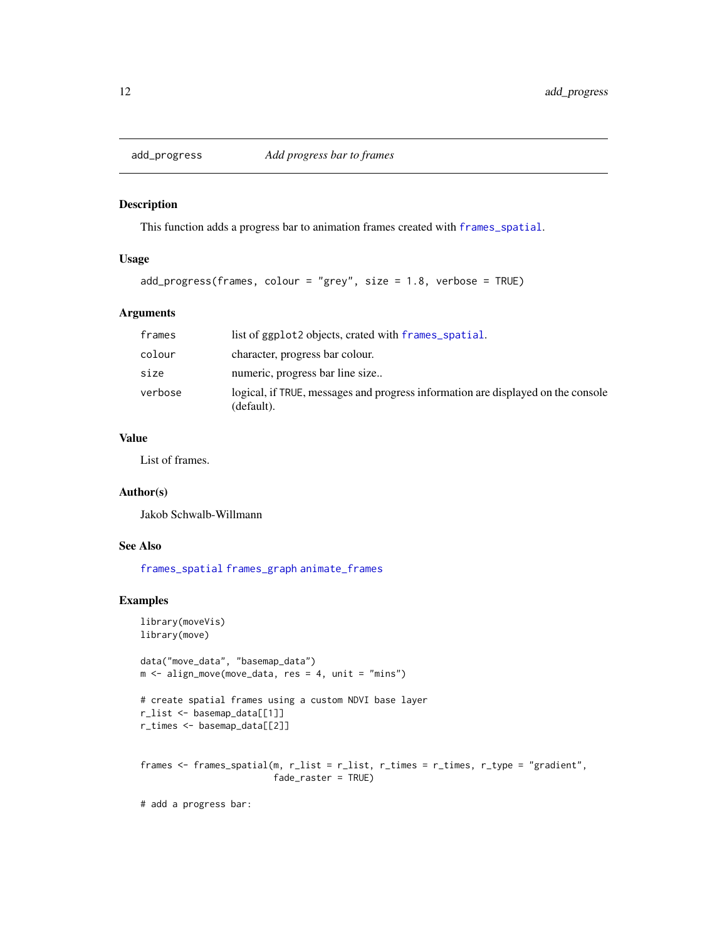<span id="page-11-1"></span><span id="page-11-0"></span>

# Description

This function adds a progress bar to animation frames created with [frames\\_spatial](#page-26-1).

# Usage

```
add\_progress(frames, colour = "grey", size = 1.8, verbose = TRUE)
```
# Arguments

| frames  | list of ggplot2 objects, crated with frames_spatial.                                           |
|---------|------------------------------------------------------------------------------------------------|
| colour  | character, progress bar colour.                                                                |
| size    | numeric, progress bar line size                                                                |
| verbose | logical, if TRUE, messages and progress information are displayed on the console<br>(default). |

# Value

List of frames.

#### Author(s)

Jakob Schwalb-Willmann

# See Also

[frames\\_spatial](#page-26-1) [frames\\_graph](#page-23-1) [animate\\_frames](#page-18-1)

```
library(moveVis)
library(move)
data("move_data", "basemap_data")
m \leq -align_move(move_data, res = 4, unit = "mins")# create spatial frames using a custom NDVI base layer
r_list <- basemap_data[[1]]
r_times <- basemap_data[[2]]
frames <- frames_spatial(m, r_list = r_list, r_times = r_times, r_type = "gradient",
                         fade_raster = TRUE)
# add a progress bar:
```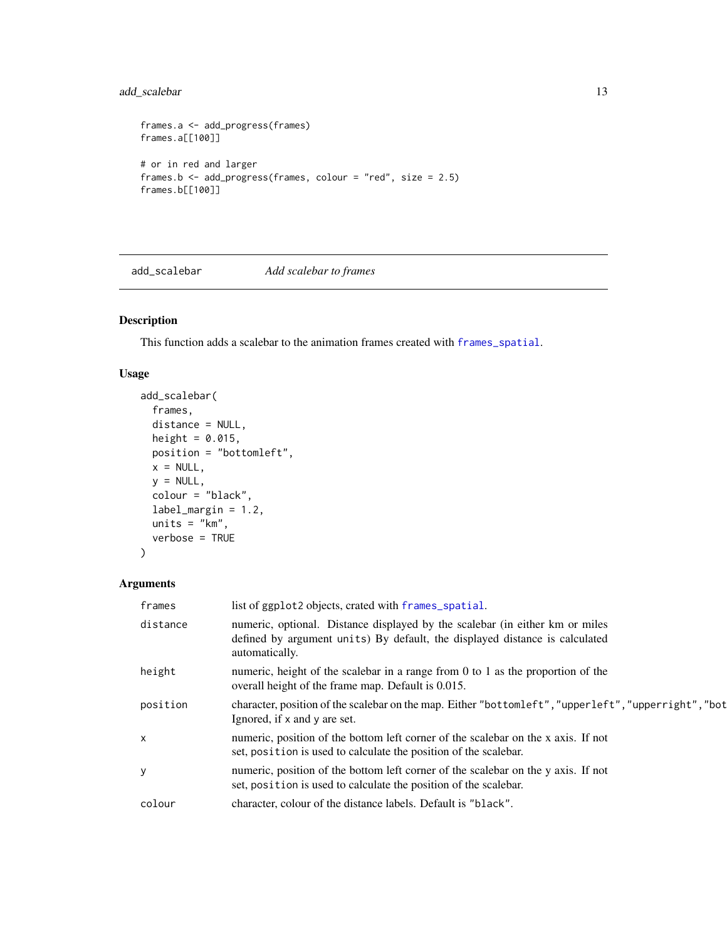# <span id="page-12-0"></span>add\_scalebar 13

```
frames.a <- add_progress(frames)
frames.a[[100]]
# or in red and larger
frames.b <- add_progress(frames, colour = "red", size = 2.5)
frames.b[[100]]
```
<span id="page-12-1"></span>add\_scalebar *Add scalebar to frames*

# Description

This function adds a scalebar to the animation frames created with [frames\\_spatial](#page-26-1).

# Usage

```
add_scalebar(
 frames,
 distance = NULL,
 height = 0.015,
 position = "bottomleft",
 x = NULL,y = NULL,colour = "black",
 label_margin = 1.2,
 units = "km",verbose = TRUE
)
```
# Arguments

| frames   | list of ggplot2 objects, crated with frames_spatial.                                                                                                                          |
|----------|-------------------------------------------------------------------------------------------------------------------------------------------------------------------------------|
| distance | numeric, optional. Distance displayed by the scalebar (in either km or miles<br>defined by argument units) By default, the displayed distance is calculated<br>automatically. |
| height   | numeric, height of the scalebar in a range from 0 to 1 as the proportion of the<br>overall height of the frame map. Default is 0.015.                                         |
| position | character, position of the scalebar on the map. Either "bottomleft", "upperleft", "upperright", "bot<br>Ignored, if x and y are set.                                          |
| X        | numeric, position of the bottom left corner of the scalebar on the x axis. If not<br>set, position is used to calculate the position of the scalebar.                         |
| У        | numeric, position of the bottom left corner of the scalebar on the y axis. If not<br>set, position is used to calculate the position of the scalebar.                         |
| colour   | character, colour of the distance labels. Default is "black".                                                                                                                 |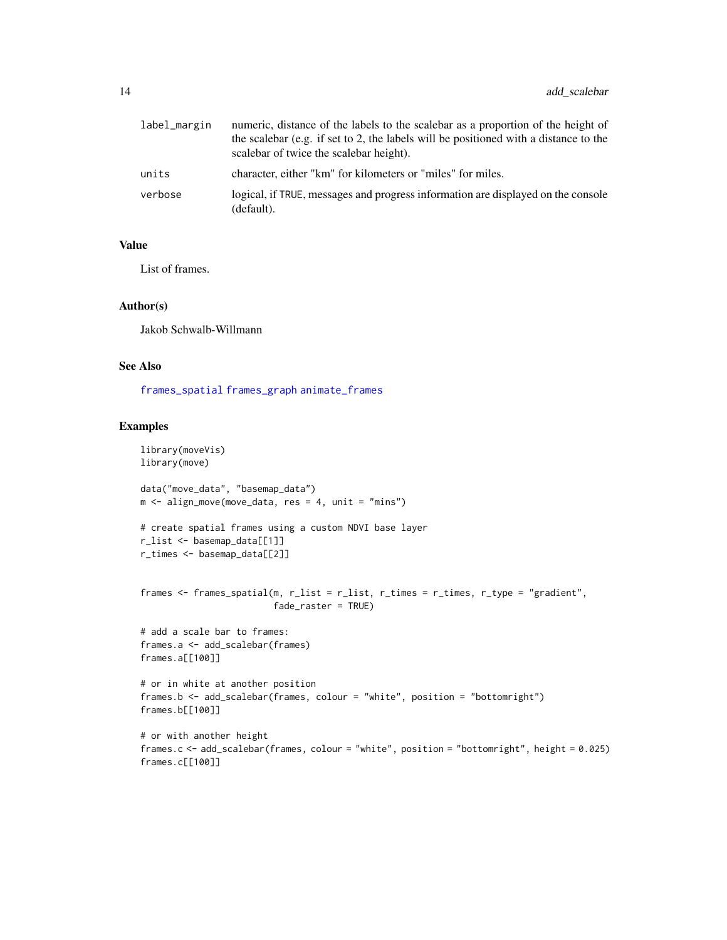<span id="page-13-0"></span>

| label_margin | numeric, distance of the labels to the scalebar as a proportion of the height of<br>the scalebar (e.g. if set to 2, the labels will be positioned with a distance to the<br>scalebar of twice the scalebar height). |
|--------------|---------------------------------------------------------------------------------------------------------------------------------------------------------------------------------------------------------------------|
| units        | character, either "km" for kilometers or "miles" for miles.                                                                                                                                                         |
| verbose      | logical, if TRUE, messages and progress information are displayed on the console<br>(default).                                                                                                                      |

#### Value

List of frames.

#### Author(s)

Jakob Schwalb-Willmann

#### See Also

[frames\\_spatial](#page-26-1) [frames\\_graph](#page-23-1) [animate\\_frames](#page-18-1)

```
library(moveVis)
library(move)
data("move_data", "basemap_data")
m <- align_move(move_data, res = 4, unit = "mins")
# create spatial frames using a custom NDVI base layer
r_list <- basemap_data[[1]]
r_times <- basemap_data[[2]]
frames <- frames_spatial(m, r_list = r_list, r_times = r_times, r_type = "gradient",
                         fade_raster = TRUE)
# add a scale bar to frames:
frames.a <- add_scalebar(frames)
frames.a[[100]]
# or in white at another position
frames.b <- add_scalebar(frames, colour = "white", position = "bottomright")
frames.b[[100]]
# or with another height
frames.c <- add_scalebar(frames, colour = "white", position = "bottomright", height = 0.025)
frames.c[[100]]
```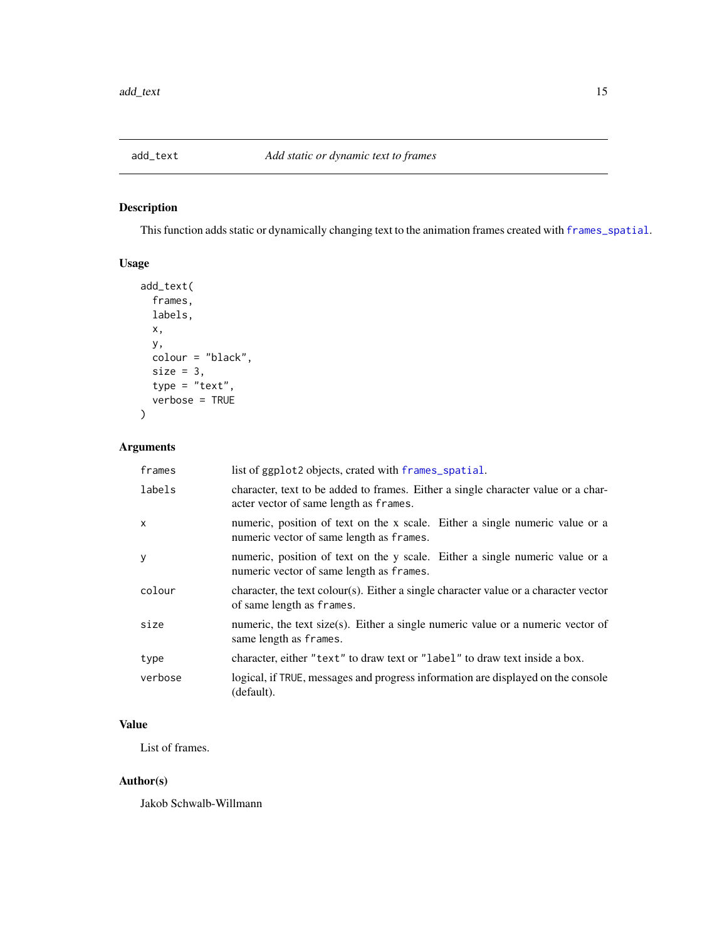<span id="page-14-1"></span><span id="page-14-0"></span>

# Description

This function adds static or dynamically changing text to the animation frames created with [frames\\_spatial](#page-26-1).

# Usage

```
add_text(
  frames,
 labels,
 x,
 y,
 colour = "black",
  size = 3,type = "text",verbose = TRUE
)
```
# Arguments

| frames  | list of ggplot2 objects, crated with frames_spatial.                                                                        |
|---------|-----------------------------------------------------------------------------------------------------------------------------|
| labels  | character, text to be added to frames. Either a single character value or a char-<br>acter vector of same length as frames. |
| x       | numeric, position of text on the x scale. Either a single numeric value or a<br>numeric vector of same length as frames.    |
| У       | numeric, position of text on the y scale. Either a single numeric value or a<br>numeric vector of same length as frames.    |
| colour  | character, the text colour(s). Either a single character value or a character vector<br>of same length as frames.           |
| size    | numeric, the text size(s). Either a single numeric value or a numeric vector of<br>same length as frames.                   |
| type    | character, either "text" to draw text or "label" to draw text inside a box.                                                 |
| verbose | logical, if TRUE, messages and progress information are displayed on the console<br>(default).                              |

# Value

List of frames.

# Author(s)

Jakob Schwalb-Willmann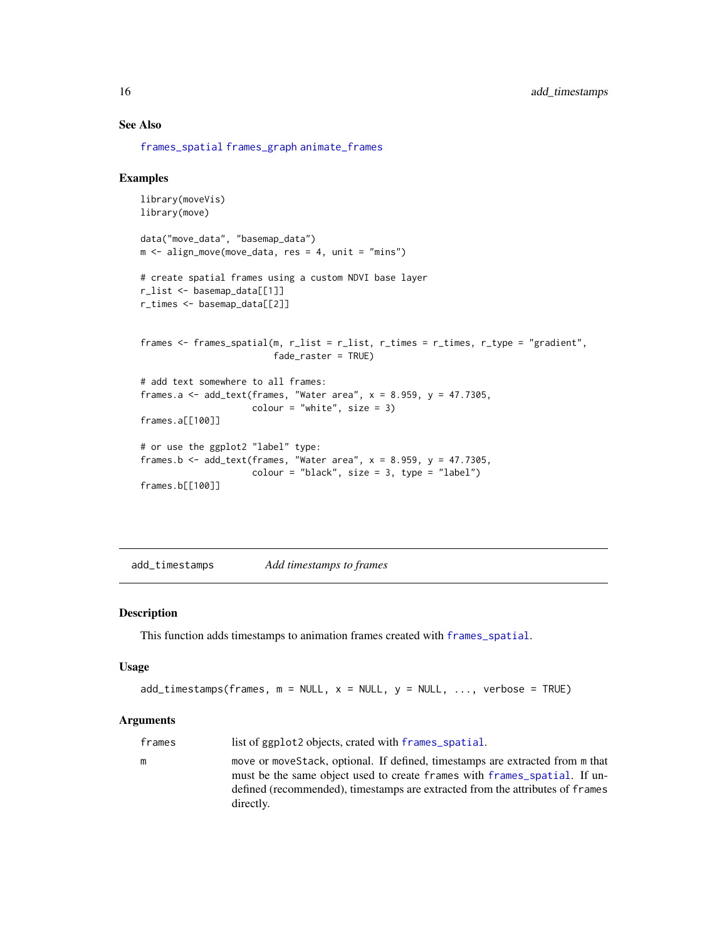# See Also

[frames\\_spatial](#page-26-1) [frames\\_graph](#page-23-1) [animate\\_frames](#page-18-1)

#### Examples

```
library(moveVis)
library(move)
data("move_data", "basemap_data")
m <- align_move(move_data, res = 4, unit = "mins")
# create spatial frames using a custom NDVI base layer
r_list <- basemap_data[[1]]
r_times <- basemap_data[[2]]
frames <- frames_spatial(m, r_list = r_list, r_times = r_times, r_type = "gradient",
                         fade_raster = TRUE)
# add text somewhere to all frames:
frames.a <- add_text(frames, "Water area", x = 8.959, y = 47.7305,
                     color = "white", size = 3)frames.a[[100]]
# or use the ggplot2 "label" type:
frames.b \leq add_text(frames, "Water area", x = 8.959, y = 47.7305,
                     colour = "black", size = 3, type = "label")
frames.b[[100]]
```
<span id="page-15-1"></span>add\_timestamps *Add timestamps to frames*

#### Description

This function adds timestamps to animation frames created with [frames\\_spatial](#page-26-1).

#### Usage

```
add\_times(frames, m = NULL, x = NULL, y = NULL, ..., verbose = TRUE)
```
#### Arguments

| frames | list of ggplot2 objects, crated with frames_spatial.                                                                                                                                                                                                      |
|--------|-----------------------------------------------------------------------------------------------------------------------------------------------------------------------------------------------------------------------------------------------------------|
| m      | move or move Stack, optional. If defined, timestamps are extracted from m that<br>must be the same object used to create frames with frames spatial. If un-<br>defined (recommended), timestamps are extracted from the attributes of frames<br>directly. |
|        |                                                                                                                                                                                                                                                           |

<span id="page-15-0"></span>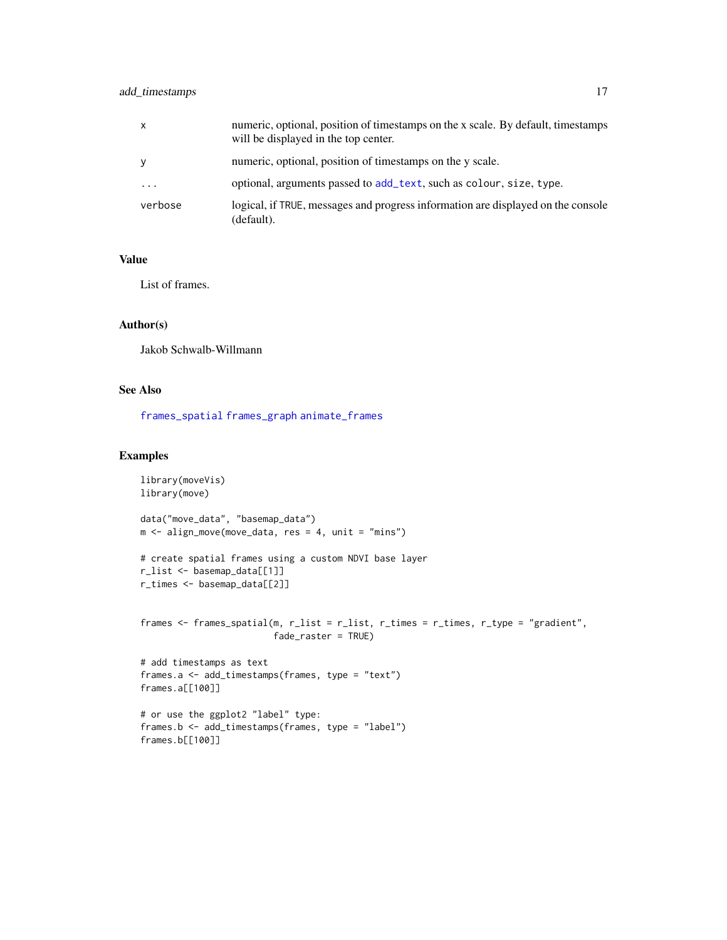# <span id="page-16-0"></span>add\_timestamps 17

| x        | numeric, optional, position of timestamps on the x scale. By default, timestamps<br>will be displayed in the top center. |
|----------|--------------------------------------------------------------------------------------------------------------------------|
| ۷        | numeric, optional, position of timestamps on the y scale.                                                                |
| $\cdots$ | optional, arguments passed to add_text, such as colour, size, type.                                                      |
| verbose  | logical, if TRUE, messages and progress information are displayed on the console<br>(default).                           |

# Value

List of frames.

# Author(s)

Jakob Schwalb-Willmann

# See Also

[frames\\_spatial](#page-26-1) [frames\\_graph](#page-23-1) [animate\\_frames](#page-18-1)

```
library(moveVis)
library(move)
data("move_data", "basemap_data")
m <- align_move(move_data, res = 4, unit = "mins")
# create spatial frames using a custom NDVI base layer
r_list <- basemap_data[[1]]
r_times <- basemap_data[[2]]
frames <- frames_spatial(m, r_list = r_list, r_times = r_times, r_type = "gradient",
                        fade_raster = TRUE)
# add timestamps as text
frames.a <- add_timestamps(frames, type = "text")
frames.a[[100]]
# or use the ggplot2 "label" type:
frames.b <- add_timestamps(frames, type = "label")
frames.b[[100]]
```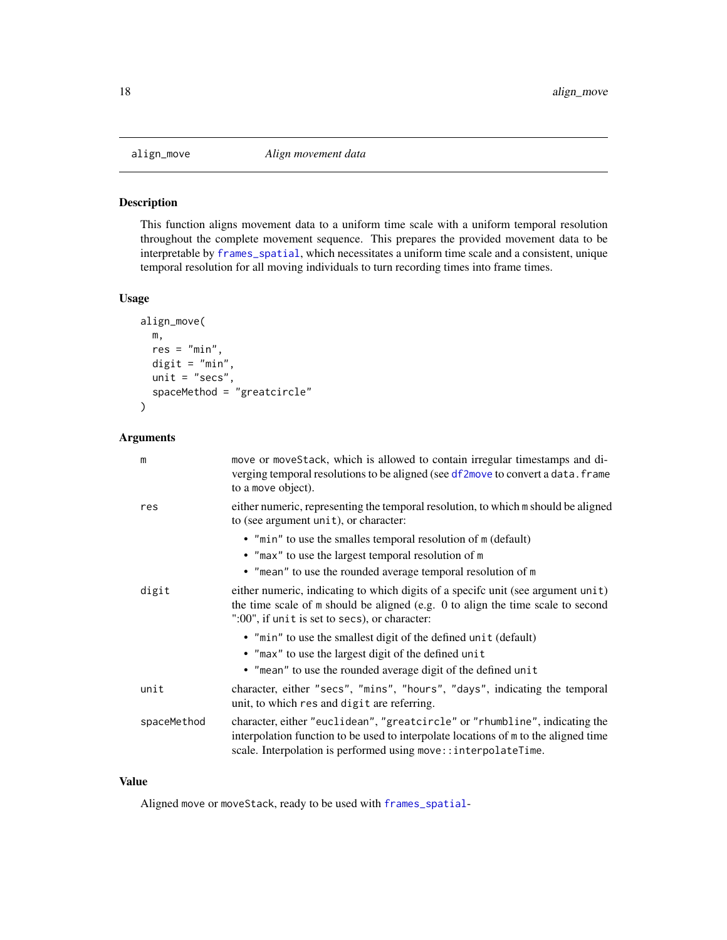<span id="page-17-1"></span><span id="page-17-0"></span>

# Description

This function aligns movement data to a uniform time scale with a uniform temporal resolution throughout the complete movement sequence. This prepares the provided movement data to be interpretable by [frames\\_spatial](#page-26-1), which necessitates a uniform time scale and a consistent, unique temporal resolution for all moving individuals to turn recording times into frame times.

# Usage

```
align_move(
  m,
  res = "min",
  digit = "min",
  unit = "secs",spaceMethod = "greatcircle"
\mathcal{L}
```
# Arguments

| m           | move or moveStack, which is allowed to contain irregular timestamps and di-<br>verging temporal resolutions to be aligned (see df2move to convert a data. frame<br>to a move object).                                                 |
|-------------|---------------------------------------------------------------------------------------------------------------------------------------------------------------------------------------------------------------------------------------|
| res         | either numeric, representing the temporal resolution, to which m should be aligned<br>to (see argument unit), or character:                                                                                                           |
|             | • "min" to use the smalles temporal resolution of m (default)                                                                                                                                                                         |
|             | • "max" to use the largest temporal resolution of m                                                                                                                                                                                   |
|             | • "mean" to use the rounded average temporal resolution of m                                                                                                                                                                          |
| digit       | either numeric, indicating to which digits of a specific unit (see argument unit)<br>the time scale of m should be aligned (e.g. 0 to align the time scale to second<br>":00", if unit is set to secs), or character:                 |
|             | • "min" to use the smallest digit of the defined unit (default)                                                                                                                                                                       |
|             | • "max" to use the largest digit of the defined unit                                                                                                                                                                                  |
|             | • "mean" to use the rounded average digit of the defined unit                                                                                                                                                                         |
| unit        | character, either "secs", "mins", "hours", "days", indicating the temporal<br>unit, to which res and digit are referring.                                                                                                             |
| spaceMethod | character, either "euclidean", "greatcircle" or "rhumbline", indicating the<br>interpolation function to be used to interpolate locations of m to the aligned time<br>scale. Interpolation is performed using move:: interpolateTime. |

## Value

Aligned move or moveStack, ready to be used with [frames\\_spatial](#page-26-1)-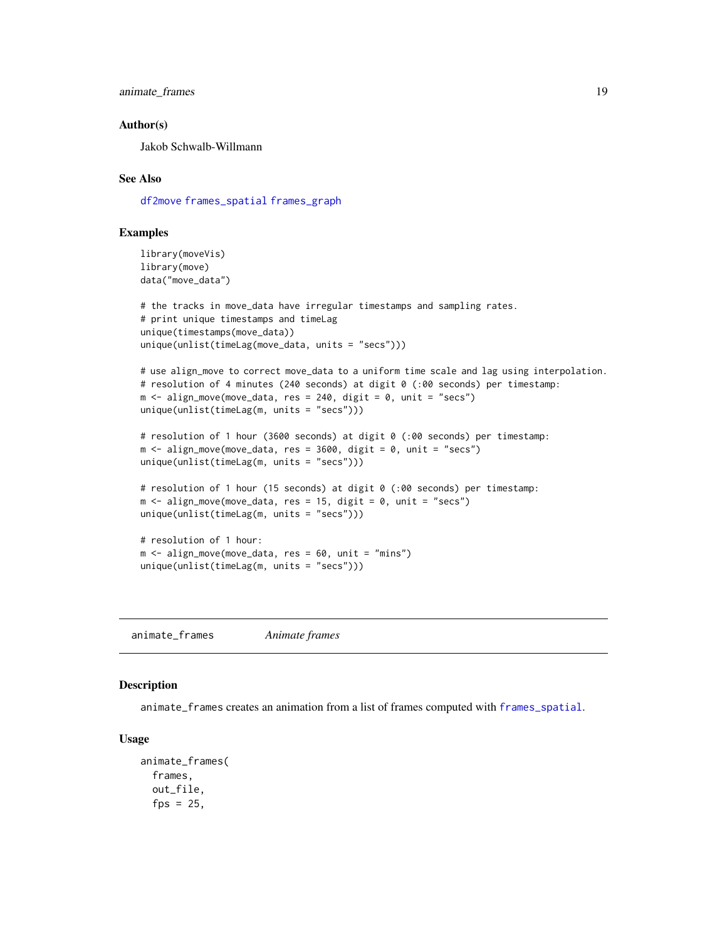<span id="page-18-0"></span>animate\_frames 19

#### Author(s)

Jakob Schwalb-Willmann

#### See Also

[df2move](#page-22-1) [frames\\_spatial](#page-26-1) [frames\\_graph](#page-23-1)

#### Examples

```
library(moveVis)
library(move)
data("move_data")
```

```
# the tracks in move_data have irregular timestamps and sampling rates.
# print unique timestamps and timeLag
unique(timestamps(move_data))
unique(unlist(timeLag(move_data, units = "secs")))
```

```
# use align_move to correct move_data to a uniform time scale and lag using interpolation.
# resolution of 4 minutes (240 seconds) at digit 0 (:00 seconds) per timestamp:
m \le - align_move(move_data, res = 240, digit = 0, unit = "secs")
unique(unlist(timeLag(m, units = "secs")))
```

```
# resolution of 1 hour (3600 seconds) at digit 0 (:00 seconds) per timestamp:
m \le - align_move(move_data, res = 3600, digit = 0, unit = "secs")
unique(unlist(timeLag(m, units = "secs")))
```

```
# resolution of 1 hour (15 seconds) at digit 0 (:00 seconds) per timestamp:
m \le - align_move(move_data, res = 15, digit = 0, unit = "secs")
unique(unlist(timeLag(m, units = "secs")))
```

```
# resolution of 1 hour:
m < - align_move(move_data, res = 60, unit = "mins")
unique(unlist(timeLag(m, units = "secs")))
```
<span id="page-18-1"></span>animate\_frames *Animate frames*

# **Description**

animate\_frames creates an animation from a list of frames computed with [frames\\_spatial](#page-26-1).

#### Usage

```
animate_frames(
  frames,
  out_file,
  fps = 25,
```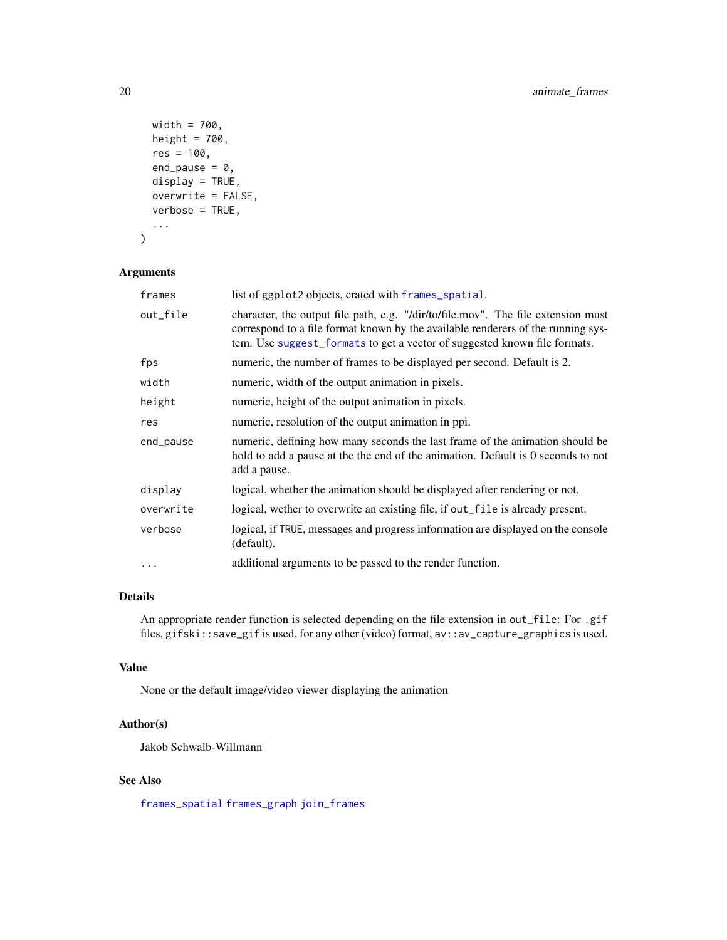```
width = 700,
 height = 700,
 res = 100,
 end_pause = 0,
 display = TRUE,
 overwrite = FALSE,
 verbose = TRUE,
  ...
)
```
#### Arguments

| frames    | list of ggplot2 objects, crated with frames_spatial.                                                                                                                                                                                               |
|-----------|----------------------------------------------------------------------------------------------------------------------------------------------------------------------------------------------------------------------------------------------------|
| out_file  | character, the output file path, e.g. "/dir/to/file.mov". The file extension must<br>correspond to a file format known by the available renderers of the running sys-<br>tem. Use suggest_formats to get a vector of suggested known file formats. |
| fps       | numeric, the number of frames to be displayed per second. Default is 2.                                                                                                                                                                            |
| width     | numeric, width of the output animation in pixels.                                                                                                                                                                                                  |
| height    | numeric, height of the output animation in pixels.                                                                                                                                                                                                 |
| res       | numeric, resolution of the output animation in ppi.                                                                                                                                                                                                |
| end_pause | numeric, defining how many seconds the last frame of the animation should be<br>hold to add a pause at the the end of the animation. Default is 0 seconds to not<br>add a pause.                                                                   |
| display   | logical, whether the animation should be displayed after rendering or not.                                                                                                                                                                         |
| overwrite | logical, wether to overwrite an existing file, if out_file is already present.                                                                                                                                                                     |
| verbose   | logical, if TRUE, messages and progress information are displayed on the console<br>(default).                                                                                                                                                     |
| $\cdots$  | additional arguments to be passed to the render function.                                                                                                                                                                                          |

# Details

An appropriate render function is selected depending on the file extension in out\_file: For .gif files, gifski::save\_gif is used, for any other (video) format, av::av\_capture\_graphics is used.

# Value

None or the default image/video viewer displaying the animation

# Author(s)

Jakob Schwalb-Willmann

# See Also

[frames\\_spatial](#page-26-1) [frames\\_graph](#page-23-1) [join\\_frames](#page-33-1)

<span id="page-19-0"></span>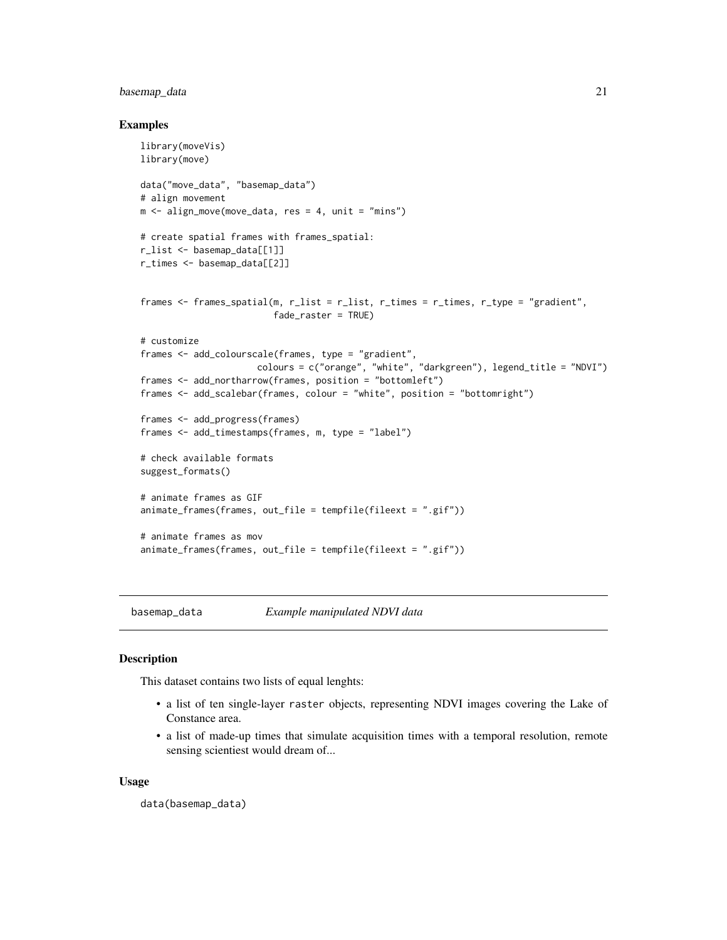# <span id="page-20-0"></span>basemap\_data 21

#### Examples

```
library(moveVis)
library(move)
data("move_data", "basemap_data")
# align movement
m \leq -align_move(move_data, res = 4, unit = "mins")# create spatial frames with frames_spatial:
r_list <- basemap_data[[1]]
r_times <- basemap_data[[2]]
frames <- frames_spatial(m, r_list = r_list, r_times = r_times, r_type = "gradient",
                         fade_raster = TRUE)
# customize
frames <- add_colourscale(frames, type = "gradient",
                      colours = c("orange", "white", "darkgreen"), legend_title = "NDVI")
frames <- add_northarrow(frames, position = "bottomleft")
frames <- add_scalebar(frames, colour = "white", position = "bottomright")
frames <- add_progress(frames)
frames <- add_timestamps(frames, m, type = "label")
# check available formats
suggest_formats()
# animate frames as GIF
animate_frames(frames, out_file = tempfile(fileext = ".gif"))
# animate frames as mov
animate_frames(frames, out_file = tempfile(fileext = ".gif"))
```
basemap\_data *Example manipulated NDVI data*

# Description

This dataset contains two lists of equal lenghts:

- a list of ten single-layer raster objects, representing NDVI images covering the Lake of Constance area.
- a list of made-up times that simulate acquisition times with a temporal resolution, remote sensing scientiest would dream of...

#### Usage

```
data(basemap_data)
```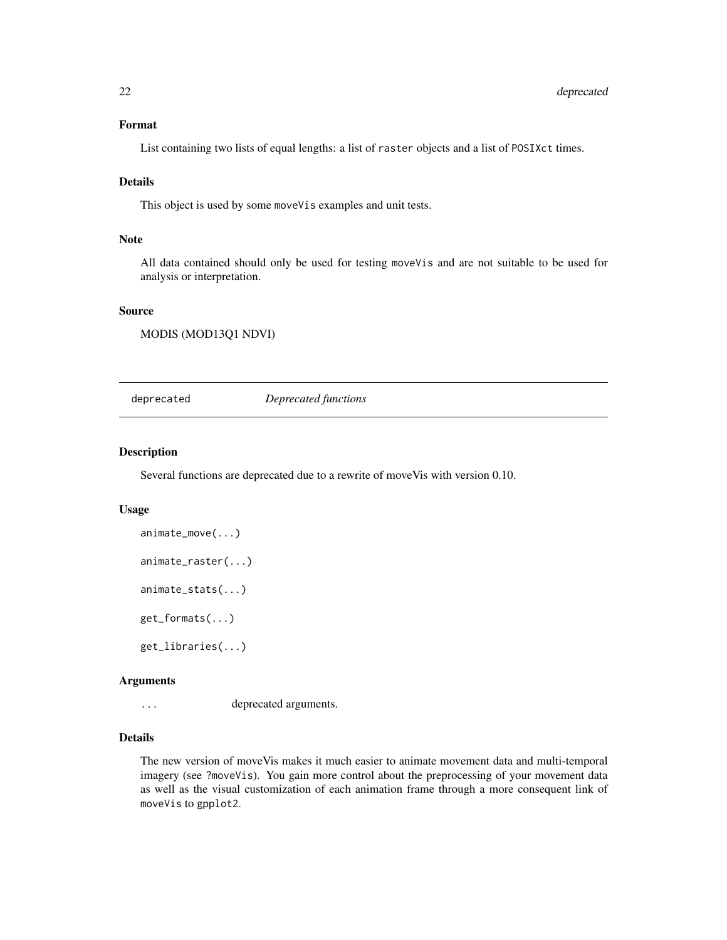# <span id="page-21-0"></span>Format

List containing two lists of equal lengths: a list of raster objects and a list of POSIXct times.

# Details

This object is used by some moveVis examples and unit tests.

#### **Note**

All data contained should only be used for testing moveVis and are not suitable to be used for analysis or interpretation.

# Source

MODIS (MOD13Q1 NDVI)

deprecated *Deprecated functions*

# Description

Several functions are deprecated due to a rewrite of moveVis with version 0.10.

#### Usage

```
animate_move(...)
animate_raster(...)
animate_stats(...)
get_formats(...)
```
get\_libraries(...)

#### Arguments

... deprecated arguments.

# Details

The new version of moveVis makes it much easier to animate movement data and multi-temporal imagery (see ?moveVis). You gain more control about the preprocessing of your movement data as well as the visual customization of each animation frame through a more consequent link of moveVis to gpplot2.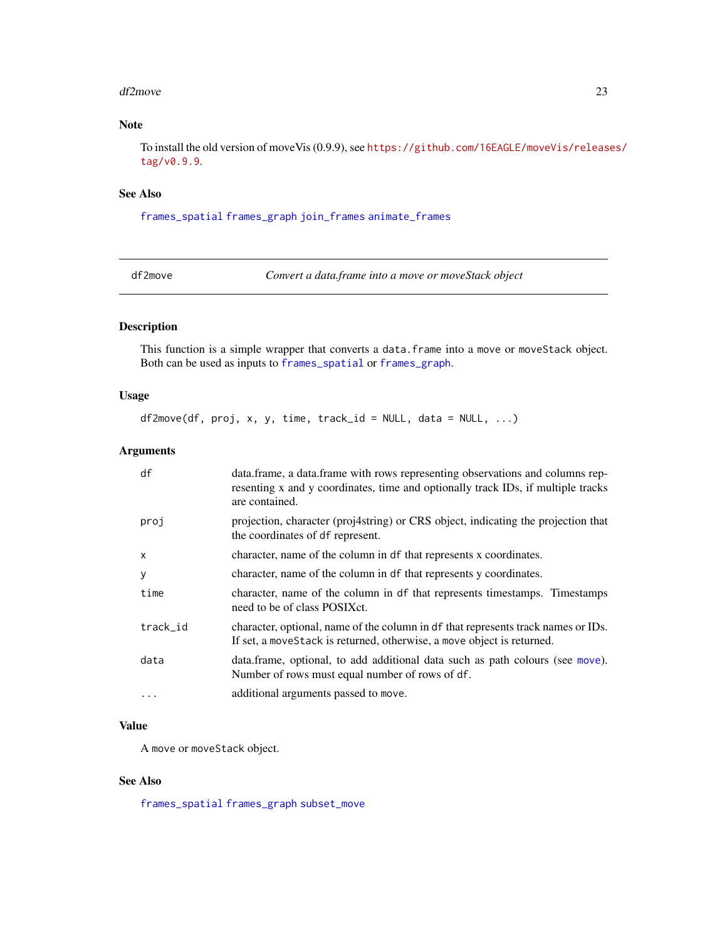#### <span id="page-22-0"></span>df2move 23

# Note

To install the old version of moveVis (0.9.9), see [https://github.com/16EAGLE/moveVis/releas](https://github.com/16EAGLE/moveVis/releases/tag/v0.9.9)es/ [tag/v0.9.9](https://github.com/16EAGLE/moveVis/releases/tag/v0.9.9).

#### See Also

[frames\\_spatial](#page-26-1) [frames\\_graph](#page-23-1) [join\\_frames](#page-33-1) [animate\\_frames](#page-18-1)

<span id="page-22-1"></span>df2move *Convert a data.frame into a move or moveStack object*

# Description

This function is a simple wrapper that converts a data. frame into a move or moveStack object. Both can be used as inputs to [frames\\_spatial](#page-26-1) or [frames\\_graph](#page-23-1).

#### Usage

 $df2move(df, proj, x, y, time, track_id = NULL, data = NULL, ...)$ 

# Arguments

| df       | data.frame, a data.frame with rows representing observations and columns rep-<br>resenting x and y coordinates, time and optionally track IDs, if multiple tracks<br>are contained. |
|----------|-------------------------------------------------------------------------------------------------------------------------------------------------------------------------------------|
| proj     | projection, character (proj4string) or CRS object, indicating the projection that<br>the coordinates of df represent.                                                               |
| X        | character, name of the column in df that represents x coordinates.                                                                                                                  |
| y        | character, name of the column in df that represents y coordinates.                                                                                                                  |
| time     | character, name of the column in df that represents timestamps. Timestamps<br>need to be of class POSIXct.                                                                          |
| track_id | character, optional, name of the column in df that represents track names or IDs.<br>If set, a move Stack is returned, otherwise, a move object is returned.                        |
| data     | data.frame, optional, to add additional data such as path colours (see move).<br>Number of rows must equal number of rows of df.                                                    |
| $\cdots$ | additional arguments passed to move.                                                                                                                                                |

# Value

A move or moveStack object.

# See Also

[frames\\_spatial](#page-26-1) [frames\\_graph](#page-23-1) [subset\\_move](#page-36-1)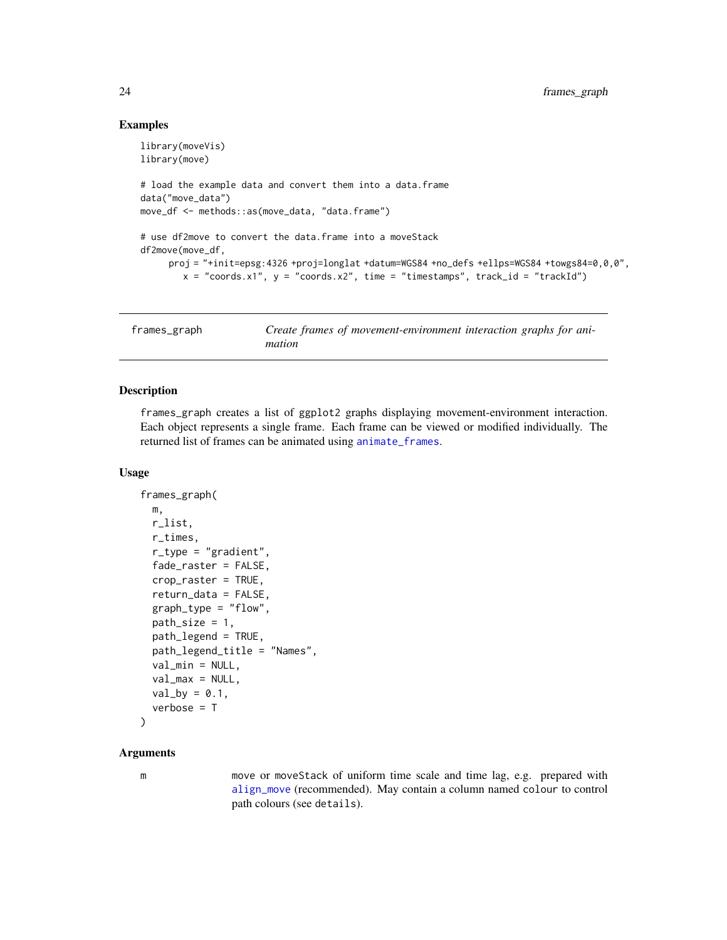## Examples

```
library(moveVis)
library(move)
# load the example data and convert them into a data.frame
data("move_data")
move_df <- methods::as(move_data, "data.frame")
# use df2move to convert the data.frame into a moveStack
df2move(move_df,
     proj = "+init=epsg:4326 +proj=longlat +datum=WGS84 +no_defs +ellps=WGS84 +towgs84=0,0,0",
        x = "coordinates.x1", y = "coordinates.x2", time = "timesamps", track_id = "trackId")
```
<span id="page-23-1"></span>

| frames_graph | Create frames of movement-environment interaction graphs for ani- |
|--------------|-------------------------------------------------------------------|
|              | mation                                                            |

# Description

frames\_graph creates a list of ggplot2 graphs displaying movement-environment interaction. Each object represents a single frame. Each frame can be viewed or modified individually. The returned list of frames can be animated using [animate\\_frames](#page-18-1).

#### Usage

```
frames_graph(
 m,
  r_list,
  r_times,
  r_type = "gradient",
  fade_raster = FALSE,
  crop_raster = TRUE,
  return_data = FALSE,
  graph_type = "flow",
  path_size = 1,
 path_legend = TRUE,
  path_legend_title = "Names",
  val_min = NULL,
  val_max = NULL,
  val_by = 0.1,
  verbose = T
)
```
#### **Arguments**

m move or moveStack of uniform time scale and time lag, e.g. prepared with [align\\_move](#page-17-1) (recommended). May contain a column named colour to control path colours (see details).

<span id="page-23-0"></span>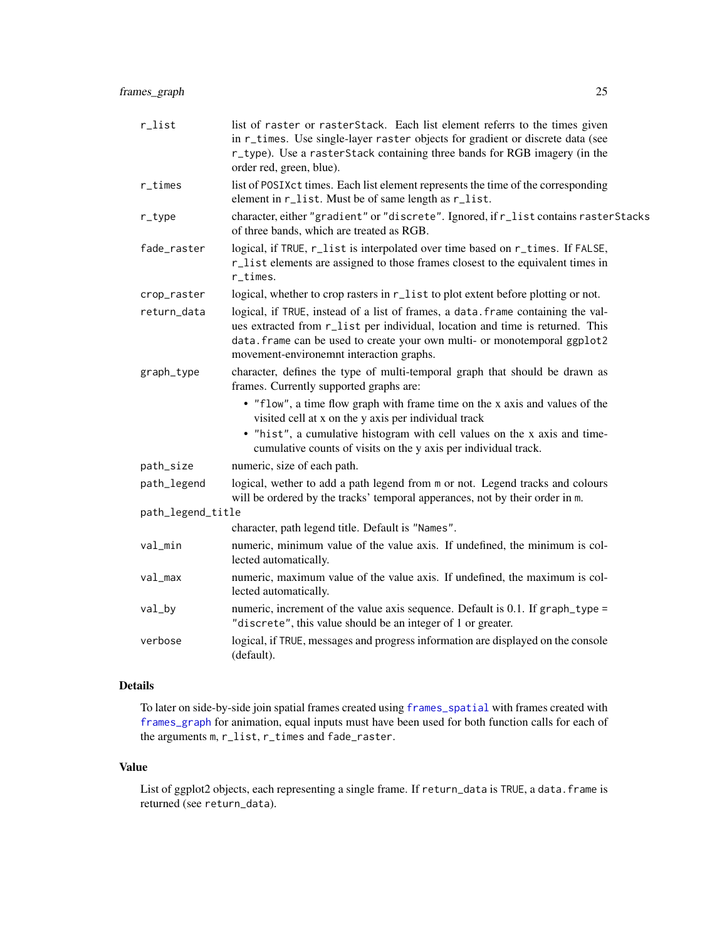<span id="page-24-0"></span>

| r_list            | list of raster or rasterStack. Each list element referrs to the times given<br>in r_times. Use single-layer raster objects for gradient or discrete data (see<br>r_type). Use a rasterStack containing three bands for RGB imagery (in the<br>order red, green, blue).                     |
|-------------------|--------------------------------------------------------------------------------------------------------------------------------------------------------------------------------------------------------------------------------------------------------------------------------------------|
| $r_t$ imes        | list of POSIXct times. Each list element represents the time of the corresponding<br>element in r_list. Must be of same length as r_list.                                                                                                                                                  |
| $r_t$ ype         | character, either "gradient" or "discrete". Ignored, if r_list contains rasterStacks<br>of three bands, which are treated as RGB.                                                                                                                                                          |
| fade_raster       | logical, if TRUE, r_list is interpolated over time based on r_times. If FALSE,<br>r_list elements are assigned to those frames closest to the equivalent times in<br>r_times.                                                                                                              |
| crop_raster       | logical, whether to crop rasters in r_list to plot extent before plotting or not.                                                                                                                                                                                                          |
| return_data       | logical, if TRUE, instead of a list of frames, a data. frame containing the val-<br>ues extracted from r_list per individual, location and time is returned. This<br>data. frame can be used to create your own multi- or monotemporal ggplot2<br>movement-environemnt interaction graphs. |
| graph_type        | character, defines the type of multi-temporal graph that should be drawn as<br>frames. Currently supported graphs are:                                                                                                                                                                     |
|                   | • "flow", a time flow graph with frame time on the x axis and values of the<br>visited cell at x on the y axis per individual track<br>• "hist", a cumulative histogram with cell values on the x axis and time-                                                                           |
|                   | cumulative counts of visits on the y axis per individual track.                                                                                                                                                                                                                            |
| path_size         | numeric, size of each path.                                                                                                                                                                                                                                                                |
| path_legend       | logical, wether to add a path legend from m or not. Legend tracks and colours<br>will be ordered by the tracks' temporal apperances, not by their order in m.                                                                                                                              |
| path_legend_title |                                                                                                                                                                                                                                                                                            |
|                   | character, path legend title. Default is "Names".                                                                                                                                                                                                                                          |
| val_min           | numeric, minimum value of the value axis. If undefined, the minimum is col-<br>lected automatically.                                                                                                                                                                                       |
| val_max           | numeric, maximum value of the value axis. If undefined, the maximum is col-<br>lected automatically.                                                                                                                                                                                       |
| val_by            | numeric, increment of the value axis sequence. Default is 0.1. If graph_type =<br>"discrete", this value should be an integer of 1 or greater.                                                                                                                                             |
| verbose           | logical, if TRUE, messages and progress information are displayed on the console<br>(default).                                                                                                                                                                                             |

# Details

To later on side-by-side join spatial frames created using [frames\\_spatial](#page-26-1) with frames created with [frames\\_graph](#page-23-1) for animation, equal inputs must have been used for both function calls for each of the arguments m, r\_list, r\_times and fade\_raster.

# Value

List of ggplot2 objects, each representing a single frame. If return\_data is TRUE, a data. frame is returned (see return\_data).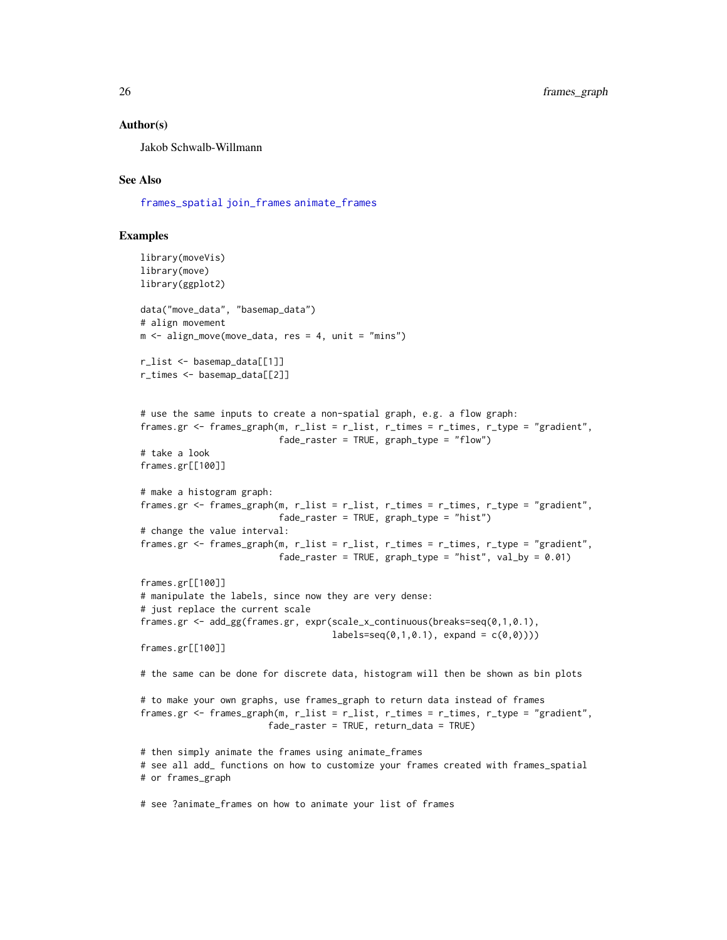#### Author(s)

Jakob Schwalb-Willmann

# See Also

[frames\\_spatial](#page-26-1) [join\\_frames](#page-33-1) [animate\\_frames](#page-18-1)

```
library(moveVis)
library(move)
library(ggplot2)
data("move_data", "basemap_data")
# align movement
m \leq -align_move(move_data, res = 4, unit = "mins")r_list <- basemap_data[[1]]
r_times <- basemap_data[[2]]
# use the same inputs to create a non-spatial graph, e.g. a flow graph:
frames.gr <- frames_graph(m, r_list = r_list, r_times = r_times, r_type = "gradient",
                         fade_raster = TRUE, graph_type = "flow")
# take a look
frames.gr[[100]]
# make a histogram graph:
frames.gr <- frames_graph(m, r_list = r_list, r_times = r_times, r_type = "gradient",
                          fade_raster = TRUE, graph_type = "hist")
# change the value interval:
frames.gr <- frames_graph(m, r_list = r_list, r_times = r_times, r_type = "gradient",
                          fade_raster = TRUE, graph_type = "hist", val_by = 0.01)
frames.gr[[100]]
# manipulate the labels, since now they are very dense:
# just replace the current scale
frames.gr <- add_gg(frames.gr, expr(scale_x_continuous(breaks=seq(0,1,0.1),
                                    labels=seq(0,1,0.1), expand = c(0,0)))frames.gr[[100]]
# the same can be done for discrete data, histogram will then be shown as bin plots
# to make your own graphs, use frames_graph to return data instead of frames
frames.gr <- frames_graph(m, r_list = r_list, r_times = r_times, r_type = "gradient",
                        fade_raster = TRUE, return_data = TRUE)
# then simply animate the frames using animate_frames
# see all add_ functions on how to customize your frames created with frames_spatial
# or frames_graph
# see ?animate_frames on how to animate your list of frames
```
<span id="page-25-0"></span>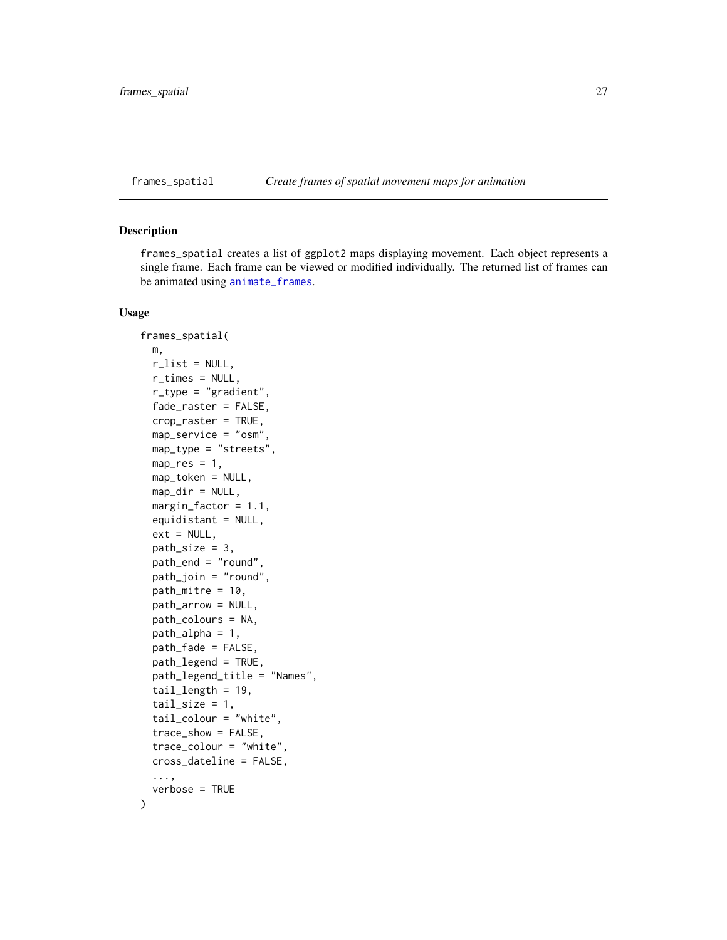<span id="page-26-1"></span><span id="page-26-0"></span>

#### Description

frames\_spatial creates a list of ggplot2 maps displaying movement. Each object represents a single frame. Each frame can be viewed or modified individually. The returned list of frames can be animated using [animate\\_frames](#page-18-1).

# Usage

```
frames_spatial(
 m,
  r<sup>-</sup>list = NULL,
 r_times = NULL,
  r_type = "gradient",
  fade_raster = FALSE,
  crop_raster = TRUE,
 map_service = "osm",
 map_type = "streets",
 map\_res = 1,
 map_token = NULL,
 map\_dir = NULL,
 margin_factor = 1.1,
  equidistant = NULL,
  ext = NULL,path_size = 3,
 path_end = "round",
  path_join = "round",
 path_mitre = 10,
 path_arrow = NULL,
 path_colours = NA,
 path_alpha = 1,
 path_fade = FALSE,
 path_legend = TRUE,
  path_legend_title = "Names",
  tail length = 19,
  tail\_size = 1,
  tail_colour = "white",
  trace_show = FALSE,
  trace_colour = "white",
  cross_dateline = FALSE,
  ...,
  verbose = TRUE
)
```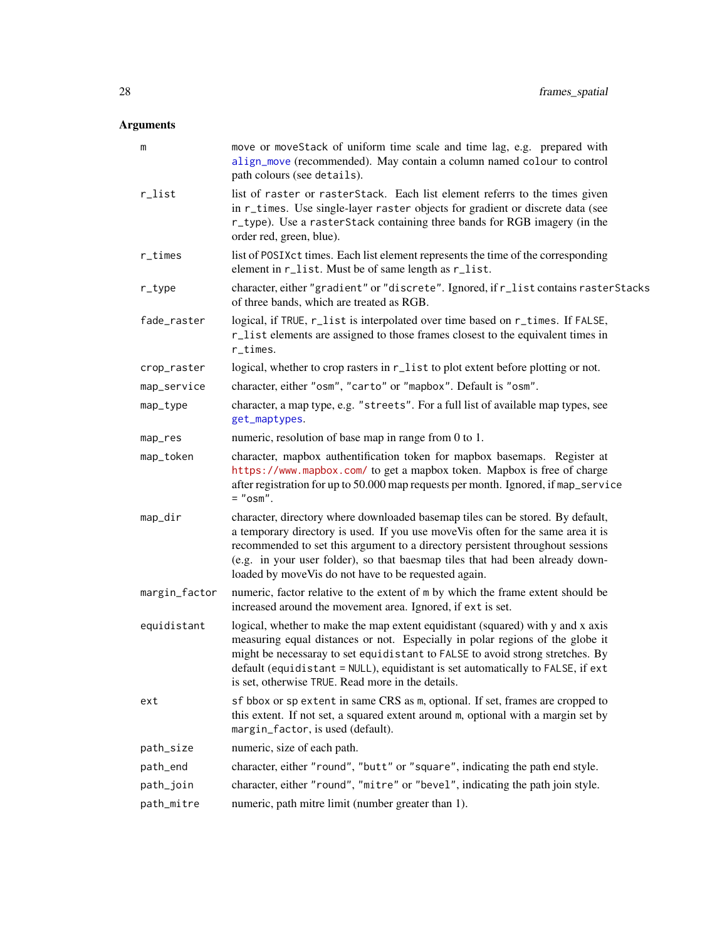# <span id="page-27-0"></span>Arguments

| m             | move or moveStack of uniform time scale and time lag, e.g. prepared with<br>align_move (recommended). May contain a column named colour to control<br>path colours (see details).                                                                                                                                                                                                              |
|---------------|------------------------------------------------------------------------------------------------------------------------------------------------------------------------------------------------------------------------------------------------------------------------------------------------------------------------------------------------------------------------------------------------|
| r_list        | list of raster or rasterStack. Each list element referrs to the times given<br>in r_times. Use single-layer raster objects for gradient or discrete data (see<br>r_type). Use a rasterStack containing three bands for RGB imagery (in the<br>order red, green, blue).                                                                                                                         |
| $r_t$ imes    | list of POSIXct times. Each list element represents the time of the corresponding<br>element in r_list. Must be of same length as r_list.                                                                                                                                                                                                                                                      |
| $r_t$ ype     | character, either "gradient" or "discrete". Ignored, if r_list contains rasterStacks<br>of three bands, which are treated as RGB.                                                                                                                                                                                                                                                              |
| fade_raster   | logical, if TRUE, r_list is interpolated over time based on r_times. If FALSE,<br>r_list elements are assigned to those frames closest to the equivalent times in<br>r_times.                                                                                                                                                                                                                  |
| crop_raster   | logical, whether to crop rasters in r_list to plot extent before plotting or not.                                                                                                                                                                                                                                                                                                              |
| map_service   | character, either "osm", "carto" or "mapbox". Default is "osm".                                                                                                                                                                                                                                                                                                                                |
| map_type      | character, a map type, e.g. "streets". For a full list of available map types, see<br>get_maptypes.                                                                                                                                                                                                                                                                                            |
| map_res       | numeric, resolution of base map in range from 0 to 1.                                                                                                                                                                                                                                                                                                                                          |
| map_token     | character, mapbox authentification token for mapbox basemaps. Register at<br>https://www.mapbox.com/ to get a mapbox token. Mapbox is free of charge<br>after registration for up to 50.000 map requests per month. Ignored, if map_service<br>$=$ " $osm$ ".                                                                                                                                  |
| map_dir       | character, directory where downloaded basemap tiles can be stored. By default,<br>a temporary directory is used. If you use move Vis often for the same area it is<br>recommended to set this argument to a directory persistent throughout sessions<br>(e.g. in your user folder), so that baesmap tiles that had been already down-<br>loaded by move Vis do not have to be requested again. |
| margin_factor | numeric, factor relative to the extent of m by which the frame extent should be<br>increased around the movement area. Ignored, if ext is set.                                                                                                                                                                                                                                                 |
| equidistant   | logical, whether to make the map extent equidistant (squared) with y and x axis<br>measuring equal distances or not. Especially in polar regions of the globe it<br>might be necessaray to set equidistant to FALSE to avoid strong stretches. By<br>default (equidistant = NULL), equidistant is set automatically to FALSE, if ext<br>is set, otherwise TRUE. Read more in the details.      |
| ext           | sf bbox or sp extent in same CRS as m, optional. If set, frames are cropped to<br>this extent. If not set, a squared extent around m, optional with a margin set by<br>margin_factor, is used (default).                                                                                                                                                                                       |
| path_size     | numeric, size of each path.                                                                                                                                                                                                                                                                                                                                                                    |
| path_end      | character, either "round", "butt" or "square", indicating the path end style.                                                                                                                                                                                                                                                                                                                  |
| path_join     | character, either "round", "mitre" or "bevel", indicating the path join style.                                                                                                                                                                                                                                                                                                                 |
| path_mitre    | numeric, path mitre limit (number greater than 1).                                                                                                                                                                                                                                                                                                                                             |
|               |                                                                                                                                                                                                                                                                                                                                                                                                |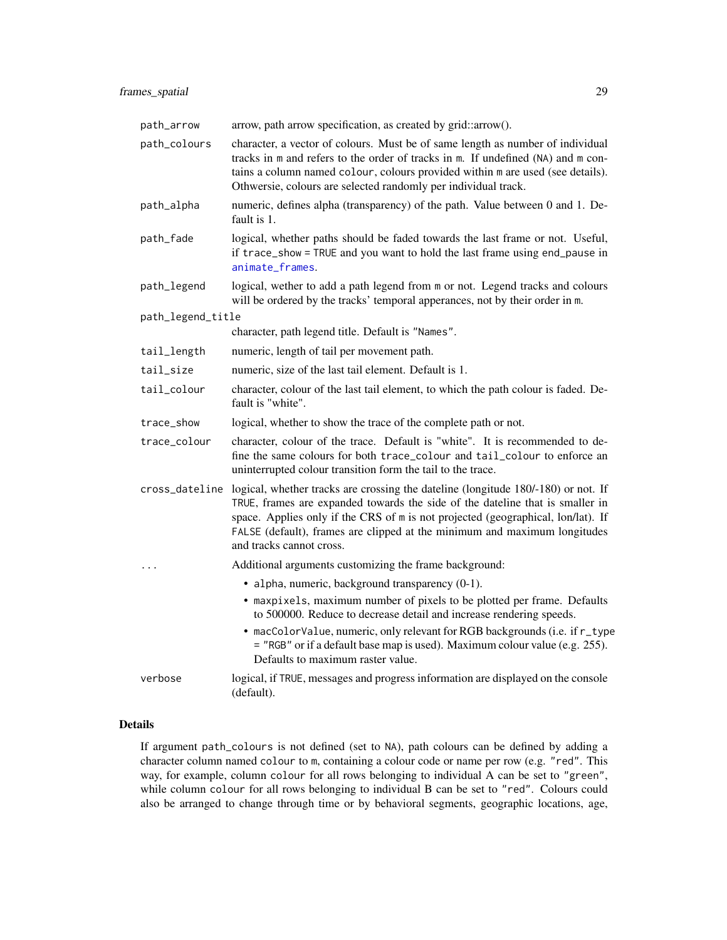<span id="page-28-0"></span>

| path_arrow        | arrow, path arrow specification, as created by grid::arrow().                                                                                                                                                                                                                                                                                                   |
|-------------------|-----------------------------------------------------------------------------------------------------------------------------------------------------------------------------------------------------------------------------------------------------------------------------------------------------------------------------------------------------------------|
| path_colours      | character, a vector of colours. Must be of same length as number of individual<br>tracks in m and refers to the order of tracks in m. If undefined (NA) and m con-<br>tains a column named colour, colours provided within m are used (see details).<br>Othwersie, colours are selected randomly per individual track.                                          |
| path_alpha        | numeric, defines alpha (transparency) of the path. Value between 0 and 1. De-<br>fault is 1.                                                                                                                                                                                                                                                                    |
| path_fade         | logical, whether paths should be faded towards the last frame or not. Useful,<br>if trace_show = TRUE and you want to hold the last frame using end_pause in<br>animate_frames.                                                                                                                                                                                 |
| path_legend       | logical, wether to add a path legend from m or not. Legend tracks and colours<br>will be ordered by the tracks' temporal apperances, not by their order in m.                                                                                                                                                                                                   |
| path_legend_title |                                                                                                                                                                                                                                                                                                                                                                 |
|                   | character, path legend title. Default is "Names".                                                                                                                                                                                                                                                                                                               |
| tail_length       | numeric, length of tail per movement path.                                                                                                                                                                                                                                                                                                                      |
| tail_size         | numeric, size of the last tail element. Default is 1.                                                                                                                                                                                                                                                                                                           |
| tail_colour       | character, colour of the last tail element, to which the path colour is faded. De-<br>fault is "white".                                                                                                                                                                                                                                                         |
| trace_show        | logical, whether to show the trace of the complete path or not.                                                                                                                                                                                                                                                                                                 |
| trace_colour      | character, colour of the trace. Default is "white". It is recommended to de-<br>fine the same colours for both trace_colour and tail_colour to enforce an<br>uninterrupted colour transition form the tail to the trace.                                                                                                                                        |
| cross_dateline    | logical, whether tracks are crossing the dateline (longitude 180/-180) or not. If<br>TRUE, frames are expanded towards the side of the dateline that is smaller in<br>space. Applies only if the CRS of m is not projected (geographical, lon/lat). If<br>FALSE (default), frames are clipped at the minimum and maximum longitudes<br>and tracks cannot cross. |
| .                 | Additional arguments customizing the frame background:                                                                                                                                                                                                                                                                                                          |
|                   | • alpha, numeric, background transparency (0-1).                                                                                                                                                                                                                                                                                                                |
|                   | • maxpixels, maximum number of pixels to be plotted per frame. Defaults<br>to 500000. Reduce to decrease detail and increase rendering speeds.                                                                                                                                                                                                                  |
|                   | • macColorValue, numeric, only relevant for RGB backgrounds (i.e. if r_type<br>= "RGB" or if a default base map is used). Maximum colour value (e.g. 255).<br>Defaults to maximum raster value.                                                                                                                                                                 |
| verbose           | logical, if TRUE, messages and progress information are displayed on the console<br>(default).                                                                                                                                                                                                                                                                  |

# Details

If argument path\_colours is not defined (set to NA), path colours can be defined by adding a character column named colour to m, containing a colour code or name per row (e.g. "red". This way, for example, column colour for all rows belonging to individual A can be set to "green", while column colour for all rows belonging to individual B can be set to "red". Colours could also be arranged to change through time or by behavioral segments, geographic locations, age,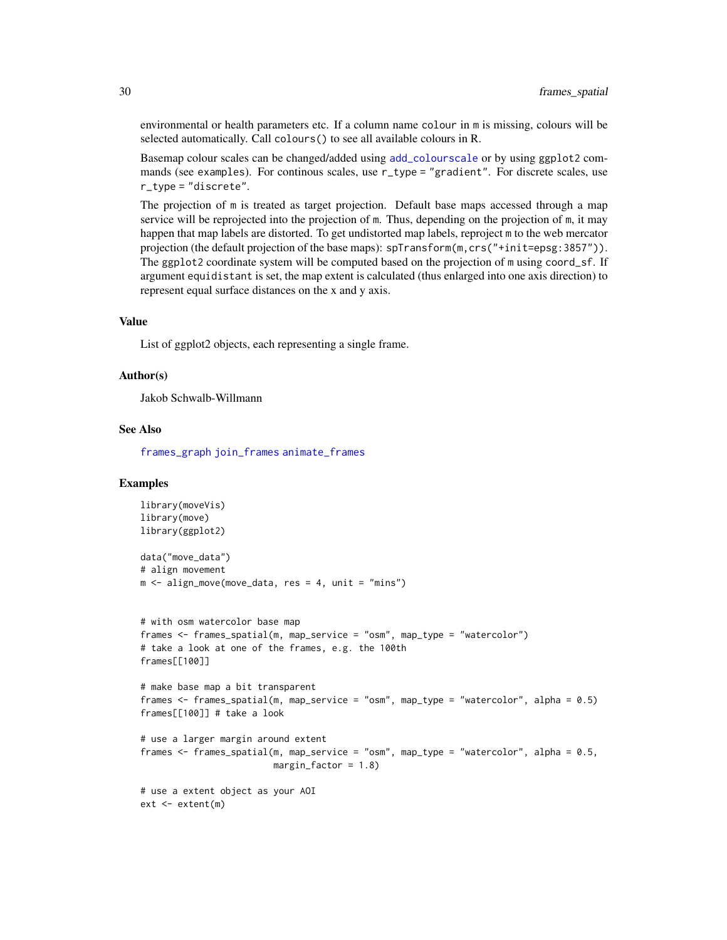environmental or health parameters etc. If a column name colour in m is missing, colours will be selected automatically. Call colours() to see all available colours in R.

Basemap colour scales can be changed/added using [add\\_colourscale](#page-3-1) or by using ggplot2 commands (see examples). For continous scales, use r\_type = "gradient". For discrete scales, use r\_type = "discrete".

The projection of m is treated as target projection. Default base maps accessed through a map service will be reprojected into the projection of m. Thus, depending on the projection of m, it may happen that map labels are distorted. To get undistorted map labels, reproject m to the web mercator projection (the default projection of the base maps):  $sprTansform(m,crs("+init=epsg:3857"))$ . The ggplot2 coordinate system will be computed based on the projection of m using coord\_sf. If argument equidistant is set, the map extent is calculated (thus enlarged into one axis direction) to represent equal surface distances on the x and y axis.

#### Value

List of ggplot2 objects, each representing a single frame.

#### Author(s)

Jakob Schwalb-Willmann

## See Also

[frames\\_graph](#page-23-1) [join\\_frames](#page-33-1) [animate\\_frames](#page-18-1)

```
library(moveVis)
library(move)
library(ggplot2)
data("move_data")
# align movement
m \leq -align_move(move_data, res = 4, unit = "mins")# with osm watercolor base map
frames <- frames_spatial(m, map_service = "osm", map_type = "watercolor")
# take a look at one of the frames, e.g. the 100th
frames[[100]]
# make base map a bit transparent
frames <- frames_spatial(m, map_service = "osm", map_type = "watercolor", alpha = 0.5)
frames[[100]] # take a look
# use a larger margin around extent
frames <- frames_spatial(m, map_service = "osm", map_type = "watercolor", alpha = 0.5,
                         margin_factor = 1.8)
# use a extent object as your AOI
ext <- extent(m)
```
<span id="page-29-0"></span>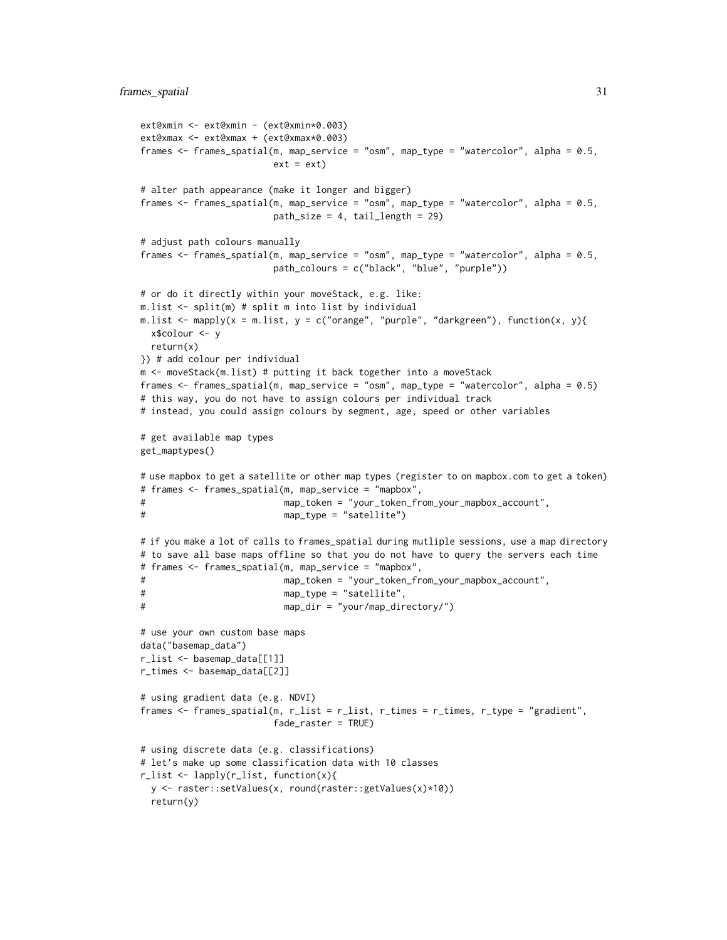```
ext@xmin <- ext@xmin - (ext@xmin*0.003)
ext@xmax <- ext@xmax + (ext@xmax*0.003)
frames <- frames_spatial(m, map_service = "osm", map_type = "watercolor", alpha = 0.5,
                       ext = ext# alter path appearance (make it longer and bigger)
frames <- frames_spatial(m, map_service = "osm", map_type = "watercolor", alpha = 0.5,
                       path_size = 4, tail_length = 29)
# adjust path colours manually
frames <- frames_spatial(m, map_service = "osm", map_type = "watercolor", alpha = 0.5,
                       path_colours = c("black", "blue", "purple"))
# or do it directly within your moveStack, e.g. like:
m.list <- split(m) # split m into list by individual
m.list \leq mapply(x = m.list, y = c("orange", "purple", "darkgreen"), function(x, y){
 x$colour <- y
 return(x)
}) # add colour per individual
m <- moveStack(m.list) # putting it back together into a moveStack
frames <- frames_spatial(m, map_service = "osm", map_type = "watercolor", alpha = 0.5)
# this way, you do not have to assign colours per individual track
# instead, you could assign colours by segment, age, speed or other variables
# get available map types
get_maptypes()
# use mapbox to get a satellite or other map types (register to on mapbox.com to get a token)
# frames <- frames_spatial(m, map_service = "mapbox",
# map_token = "your_token_from_your_mapbox_account",
# map_type = "satellite")
# if you make a lot of calls to frames_spatial during mutliple sessions, use a map directory
# to save all base maps offline so that you do not have to query the servers each time
# frames <- frames_spatial(m, map_service = "mapbox",
# map_token = "your_token_from_your_mapbox_account",
# map_type = "satellite",
# map_dir = "your/map_directory/")
# use your own custom base maps
data("basemap_data")
r_list <- basemap_data[[1]]
r_times <- basemap_data[[2]]
# using gradient data (e.g. NDVI)
frames <- frames_spatial(m, r_list = r_list, r_times = r_times, r_type = "gradient",
                       fade_raster = TRUE)
# using discrete data (e.g. classifications)
# let's make up some classification data with 10 classes
r_list <- lapply(r_list, function(x){
 y <- raster::setValues(x, round(raster::getValues(x)*10))
 return(y)
```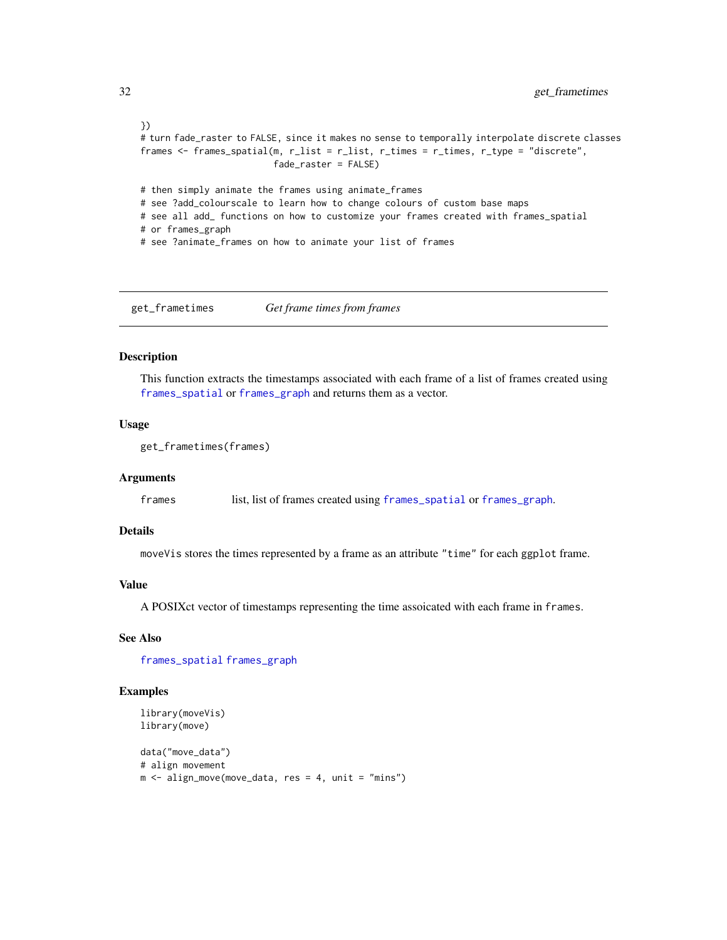```
})
# turn fade_raster to FALSE, since it makes no sense to temporally interpolate discrete classes
frames <- frames_spatial(m, r_list = r_list, r_times = r_times, r_type = "discrete",
                         fade_raster = FALSE)
# then simply animate the frames using animate_frames
# see ?add_colourscale to learn how to change colours of custom base maps
# see all add_ functions on how to customize your frames created with frames_spatial
# or frames_graph
# see ?animate_frames on how to animate your list of frames
```
<span id="page-31-1"></span>get\_frametimes *Get frame times from frames*

#### Description

This function extracts the timestamps associated with each frame of a list of frames created using [frames\\_spatial](#page-26-1) or [frames\\_graph](#page-23-1) and returns them as a vector.

# Usage

```
get_frametimes(frames)
```
#### Arguments

frames list, list of frames created using [frames\\_spatial](#page-26-1) or [frames\\_graph](#page-23-1).

### Details

moveVis stores the times represented by a frame as an attribute "time" for each ggplot frame.

# Value

A POSIXct vector of timestamps representing the time assoicated with each frame in frames.

#### See Also

[frames\\_spatial](#page-26-1) [frames\\_graph](#page-23-1)

```
library(moveVis)
library(move)
```

```
data("move_data")
# align movement
m \leq -align_move(move_data, res = 4, unit = "mins")
```
<span id="page-31-0"></span>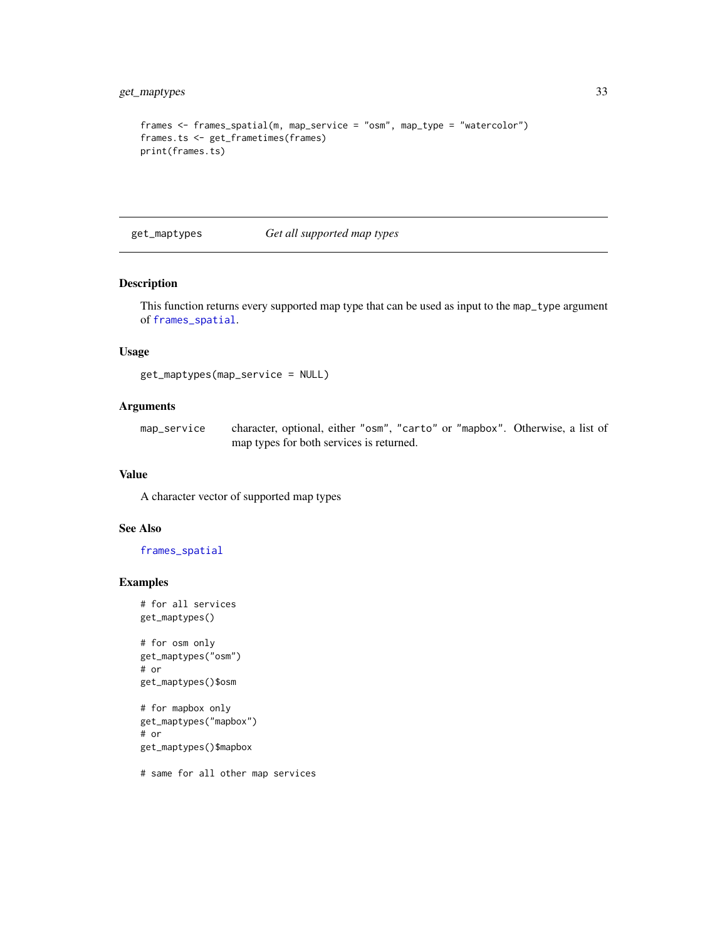```
frames <- frames_spatial(m, map_service = "osm", map_type = "watercolor")
frames.ts <- get_frametimes(frames)
print(frames.ts)
```
<span id="page-32-1"></span>get\_maptypes *Get all supported map types*

# Description

This function returns every supported map type that can be used as input to the map\_type argument of [frames\\_spatial](#page-26-1).

# Usage

get\_maptypes(map\_service = NULL)

# Arguments

map\_service character, optional, either "osm", "carto" or "mapbox". Otherwise, a list of map types for both services is returned.

# Value

A character vector of supported map types

# See Also

[frames\\_spatial](#page-26-1)

#### Examples

# for all services get\_maptypes()

# for osm only get\_maptypes("osm") # or get\_maptypes()\$osm

```
# for mapbox only
get_maptypes("mapbox")
# or
get_maptypes()$mapbox
```
# same for all other map services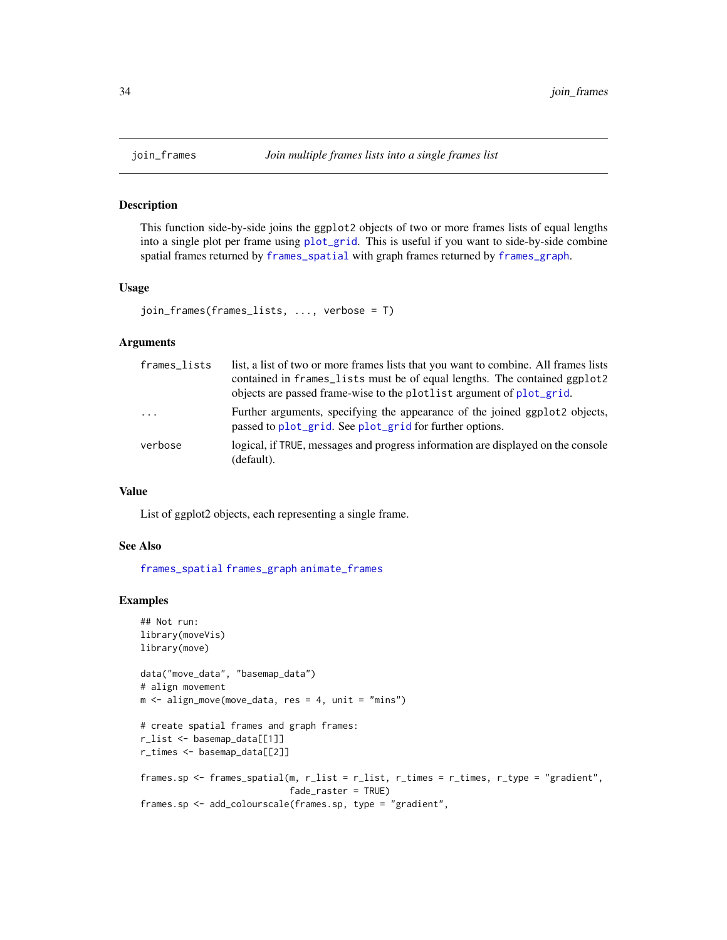#### Description

This function side-by-side joins the ggplot2 objects of two or more frames lists of equal lengths into a single plot per frame using [plot\\_grid](#page-0-0). This is useful if you want to side-by-side combine spatial frames returned by [frames\\_spatial](#page-26-1) with graph frames returned by [frames\\_graph](#page-23-1).

#### Usage

```
join_frames(frames_lists, ..., verbose = T)
```
#### Arguments

| frames_lists | list, a list of two or more frames lists that you want to combine. All frames lists<br>contained in frames_lists must be of equal lengths. The contained ggplot2<br>objects are passed frame-wise to the plotlist argument of plot_grid. |
|--------------|------------------------------------------------------------------------------------------------------------------------------------------------------------------------------------------------------------------------------------------|
| $\cdots$     | Further arguments, specifying the appearance of the joined ggplot2 objects,<br>passed to plot_grid. See plot_grid for further options.                                                                                                   |
| verbose      | logical, if TRUE, messages and progress information are displayed on the console<br>(default).                                                                                                                                           |

#### Value

List of ggplot2 objects, each representing a single frame.

#### See Also

[frames\\_spatial](#page-26-1) [frames\\_graph](#page-23-1) [animate\\_frames](#page-18-1)

```
## Not run:
library(moveVis)
library(move)
data("move_data", "basemap_data")
# align movement
m \leq -align_move(move_data, res = 4, unit = "mins")# create spatial frames and graph frames:
r_list <- basemap_data[[1]]
r_times <- basemap_data[[2]]
frames.sp <- frames_spatial(m, r_list = r_list, r_times = r_times, r_type = "gradient",
                            fade_raster = TRUE)
frames.sp <- add_colourscale(frames.sp, type = "gradient",
```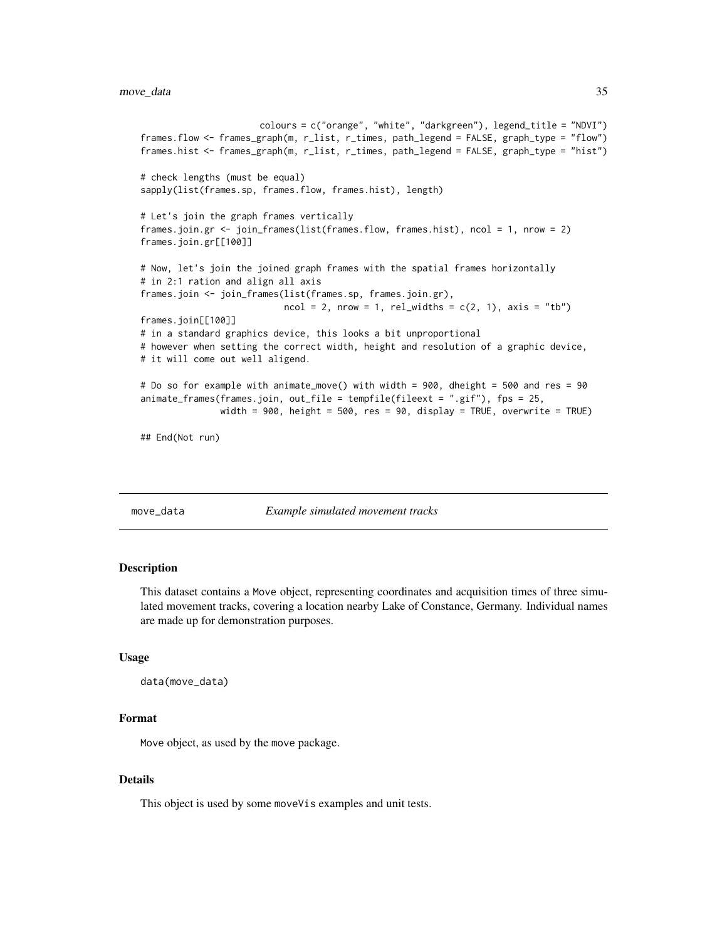```
colours = c("orange", "white", "darkgreen"), legend_title = "NDVI")
frames.flow <- frames_graph(m, r_list, r_times, path_legend = FALSE, graph_type = "flow")
frames.hist <- frames_graph(m, r_list, r_times, path_legend = FALSE, graph_type = "hist")
# check lengths (must be equal)
sapply(list(frames.sp, frames.flow, frames.hist), length)
# Let's join the graph frames vertically
frames.join.gr <- join_frames(list(frames.flow, frames.hist), ncol = 1, nrow = 2)
frames.join.gr[[100]]
# Now, let's join the joined graph frames with the spatial frames horizontally
# in 2:1 ration and align all axis
frames.join <- join_frames(list(frames.sp, frames.join.gr),
                           ncol = 2, nrow = 1, rel\_widths = c(2, 1), axis = "tb")frames.join[[100]]
# in a standard graphics device, this looks a bit unproportional
# however when setting the correct width, height and resolution of a graphic device,
# it will come out well aligend.
# Do so for example with animate_move() with width = 900, dheight = 500 and res = 90
animate_frames(frames.join, out_file = tempfile(fileext = ".gif"), fps = 25,
              width = 900, height = 500, res = 90, display = TRUE, overwrite = TRUE)
## End(Not run)
```
move\_data *Example simulated movement tracks*

#### Description

This dataset contains a Move object, representing coordinates and acquisition times of three simulated movement tracks, covering a location nearby Lake of Constance, Germany. Individual names are made up for demonstration purposes.

#### Usage

```
data(move_data)
```
# Format

Move object, as used by the move package.

#### Details

This object is used by some moveVis examples and unit tests.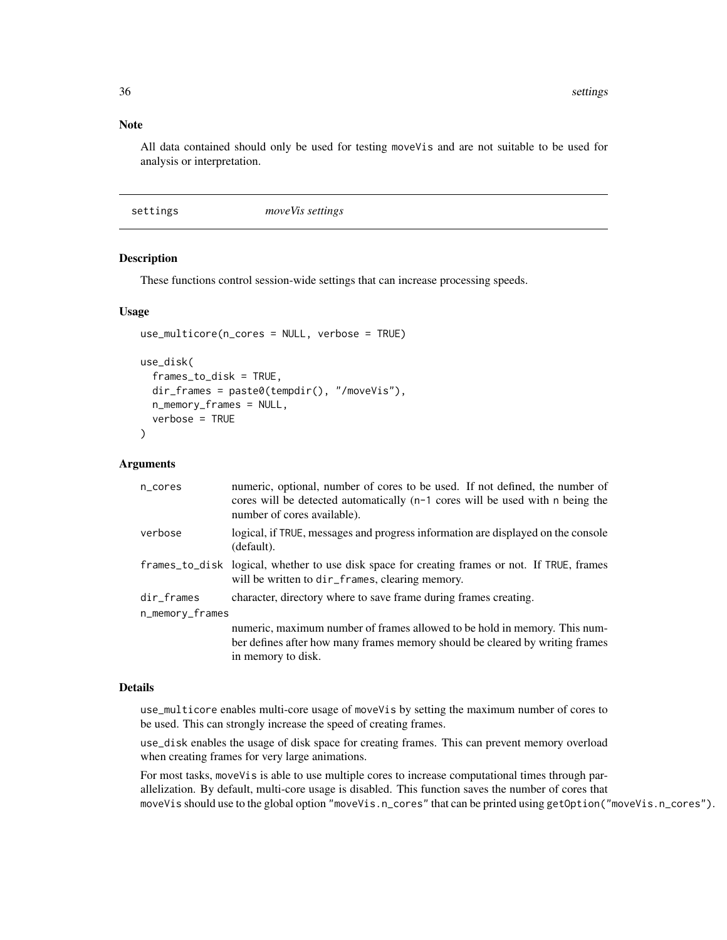#### <span id="page-35-0"></span>Note

All data contained should only be used for testing moveVis and are not suitable to be used for analysis or interpretation.

| settings | move <i>Vis</i> settings |  |
|----------|--------------------------|--|
|----------|--------------------------|--|

# <span id="page-35-1"></span>Description

These functions control session-wide settings that can increase processing speeds.

#### Usage

```
use_multicore(n_cores = NULL, verbose = TRUE)
use_disk(
  frames_to_disk = TRUE,
  dir_frames = paste0(tempdir(), "/moveVis"),
  n_memory_frames = NULL,
  verbose = TRUE
)
```
# **Arguments**

| n_cores         | numeric, optional, number of cores to be used. If not defined, the number of<br>cores will be detected automatically $(n-1)$ cores will be used with n being the<br>number of cores available). |  |
|-----------------|-------------------------------------------------------------------------------------------------------------------------------------------------------------------------------------------------|--|
| verbose         | logical, if TRUE, messages and progress information are displayed on the console<br>(default).                                                                                                  |  |
|                 | frames_to_disk logical, whether to use disk space for creating frames or not. If TRUE, frames<br>will be written to dir_frames, clearing memory.                                                |  |
| dir_frames      | character, directory where to save frame during frames creating.                                                                                                                                |  |
| n_memory_frames |                                                                                                                                                                                                 |  |
|                 | numeric, maximum number of frames allowed to be hold in memory. This num-                                                                                                                       |  |
|                 | ber defines after how many frames memory should be cleared by writing frames                                                                                                                    |  |
|                 | in memory to disk.                                                                                                                                                                              |  |

#### Details

use\_multicore enables multi-core usage of moveVis by setting the maximum number of cores to be used. This can strongly increase the speed of creating frames.

use\_disk enables the usage of disk space for creating frames. This can prevent memory overload when creating frames for very large animations.

For most tasks, moveVis is able to use multiple cores to increase computational times through parallelization. By default, multi-core usage is disabled. This function saves the number of cores that moveVis should use to the global option "moveVis.n\_cores" that can be printed using getOption("moveVis.n\_cores").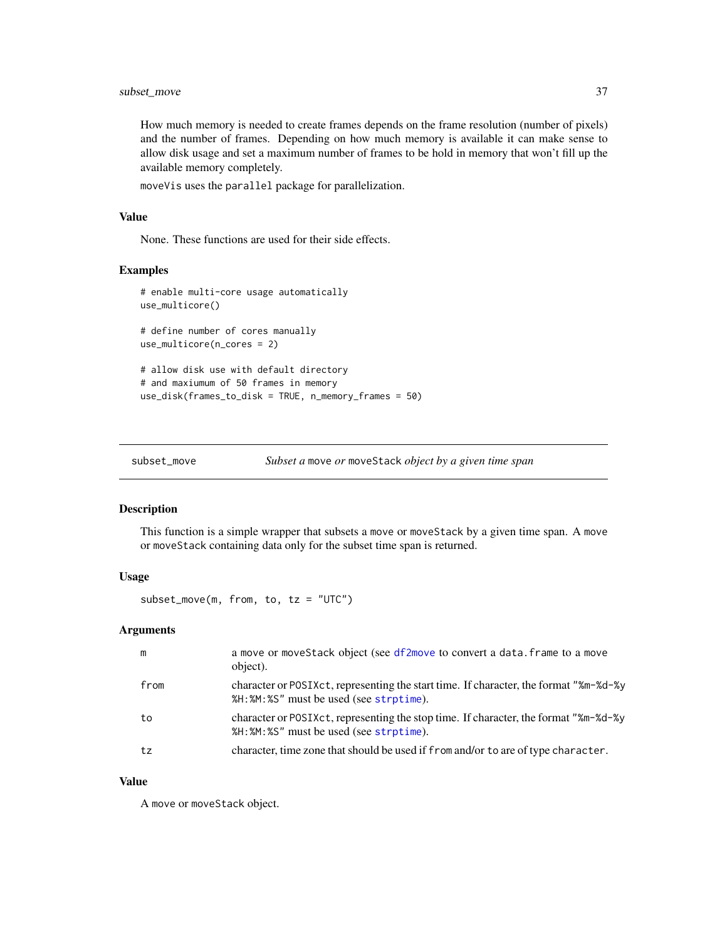<span id="page-36-0"></span>How much memory is needed to create frames depends on the frame resolution (number of pixels) and the number of frames. Depending on how much memory is available it can make sense to allow disk usage and set a maximum number of frames to be hold in memory that won't fill up the available memory completely.

moveVis uses the parallel package for parallelization.

# Value

None. These functions are used for their side effects.

#### Examples

```
# enable multi-core usage automatically
use_multicore()
# define number of cores manually
use_multicore(n_cores = 2)
# allow disk use with default directory
# and maxiumum of 50 frames in memory
use_disk(frames_to_disk = TRUE, n_memory_frames = 50)
```
<span id="page-36-1"></span>

```
subset_move Subset a move or moveStack object by a given time span
```
# Description

This function is a simple wrapper that subsets a move or moveStack by a given time span. A move or moveStack containing data only for the subset time span is returned.

#### Usage

 $subset_move(m, from, to, tz = "UTC")$ 

#### Arguments

| m    | a move or moveStack object (see df2move to convert a data. frame to a move<br>object).                                          |
|------|---------------------------------------------------------------------------------------------------------------------------------|
| from | character or POSIXct, representing the start time. If character, the format "%m-%d-%y<br>%H:%M:%S" must be used (see strptime). |
| to   | character or POSIXct, representing the stop time. If character, the format "%m-%d-%y"<br>%H:%M:%S" must be used (see strptime). |
| tz   | character, time zone that should be used if from and/or to are of type character.                                               |

## Value

A move or moveStack object.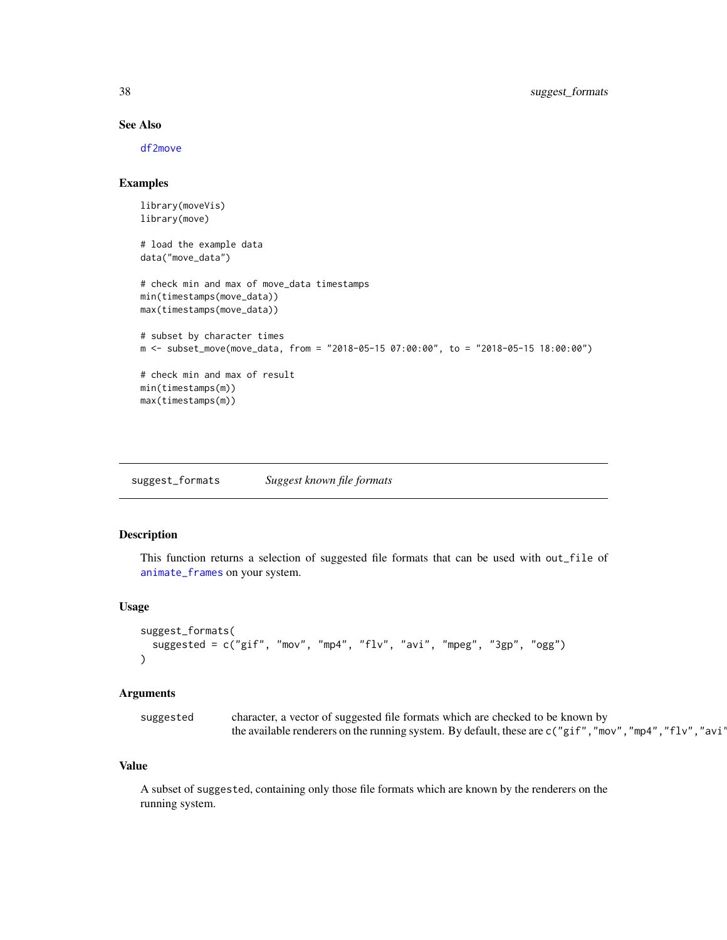# See Also

[df2move](#page-22-1)

# Examples

```
library(moveVis)
library(move)
# load the example data
data("move_data")
# check min and max of move_data timestamps
min(timestamps(move_data))
max(timestamps(move_data))
# subset by character times
m <- subset_move(move_data, from = "2018-05-15 07:00:00", to = "2018-05-15 18:00:00")
# check min and max of result
min(timestamps(m))
max(timestamps(m))
```
<span id="page-37-1"></span>suggest\_formats *Suggest known file formats*

# Description

This function returns a selection of suggested file formats that can be used with out\_file of [animate\\_frames](#page-18-1) on your system.

# Usage

```
suggest_formats(
  suggested = c("gif", "mov", "mp4", "flv", "avi", "mpeg", "3gp", "ogg")
\lambda
```
## Arguments

| suggested | character, a vector of suggested file formats which are checked to be known by                              |
|-----------|-------------------------------------------------------------------------------------------------------------|
|           | the available renderers on the running system. By default, these are $c("gif", "mov", "mp4", "flv", "avi")$ |

#### Value

A subset of suggested, containing only those file formats which are known by the renderers on the running system.

<span id="page-37-0"></span>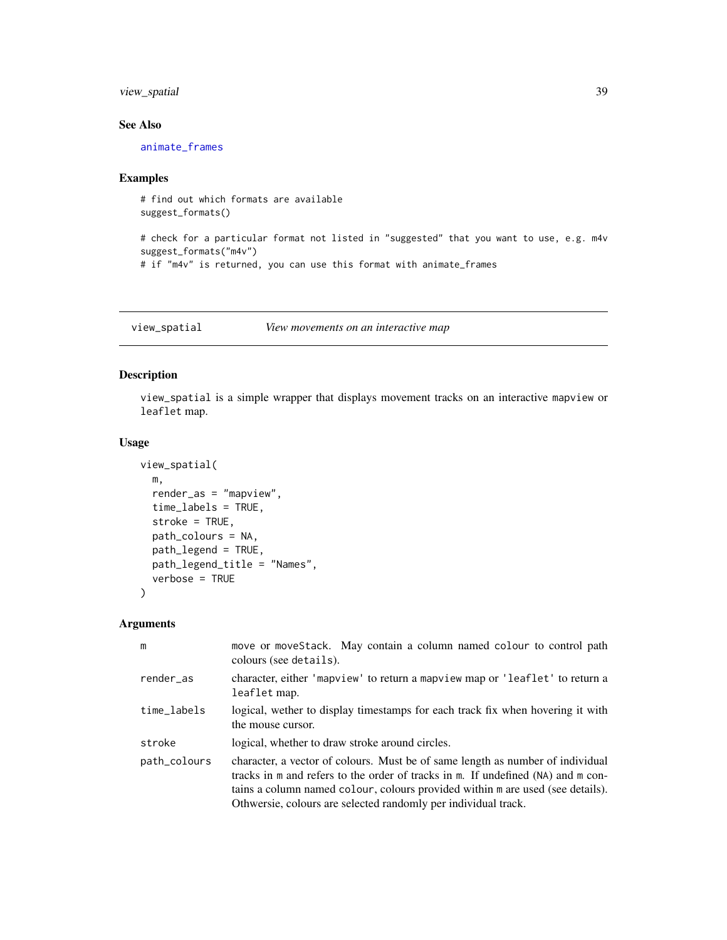# <span id="page-38-0"></span>view\_spatial 39

# See Also

[animate\\_frames](#page-18-1)

# Examples

```
# find out which formats are available
suggest_formats()
```

```
# check for a particular format not listed in "suggested" that you want to use, e.g. m4v
suggest_formats("m4v")
# if "m4v" is returned, you can use this format with animate_frames
```
<span id="page-38-1"></span>view\_spatial *View movements on an interactive map*

#### Description

view\_spatial is a simple wrapper that displays movement tracks on an interactive mapview or leaflet map.

#### Usage

```
view_spatial(
 m,
  render_as = "mapview",
  time_labels = TRUE,
  stroke = TRUE,
 path_colours = NA,
 path_legend = TRUE,
 path_legend_title = "Names",
  verbose = TRUE
\mathcal{L}
```
#### Arguments

| m            | move or moveStack. May contain a column named colour to control path<br>colours (see details).                                                                                                                                                                                                                         |
|--------------|------------------------------------------------------------------------------------------------------------------------------------------------------------------------------------------------------------------------------------------------------------------------------------------------------------------------|
| render_as    | character, either 'mapview' to return a mapview map or 'leaflet' to return a<br>leaflet map.                                                                                                                                                                                                                           |
| time_labels  | logical, wether to display timestamps for each track fix when hovering it with<br>the mouse cursor.                                                                                                                                                                                                                    |
| stroke       | logical, whether to draw stroke around circles.                                                                                                                                                                                                                                                                        |
| path_colours | character, a vector of colours. Must be of same length as number of individual<br>tracks in m and refers to the order of tracks in m. If undefined (NA) and m con-<br>tains a column named colour, colours provided within m are used (see details).<br>Othwersie, colours are selected randomly per individual track. |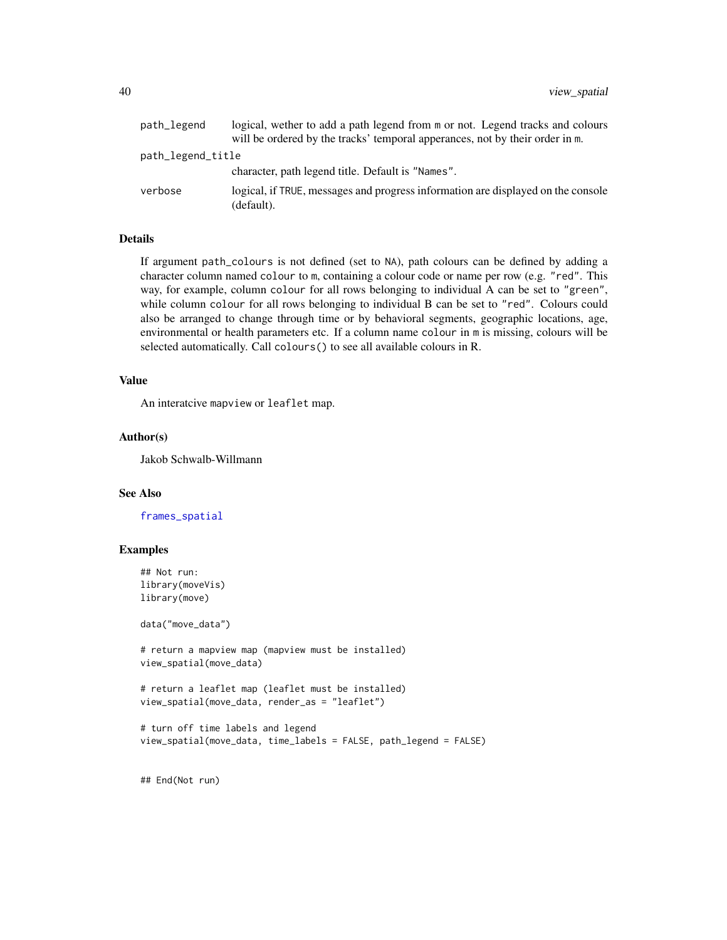<span id="page-39-0"></span>

| path_legend       | logical, wether to add a path legend from m or not. Legend tracks and colours                  |
|-------------------|------------------------------------------------------------------------------------------------|
|                   | will be ordered by the tracks' temporal apperances, not by their order in m.                   |
| path_legend_title |                                                                                                |
|                   | character, path legend title. Default is "Names".                                              |
| verbose           | logical, if TRUE, messages and progress information are displayed on the console<br>(default). |

# Details

If argument path\_colours is not defined (set to NA), path colours can be defined by adding a character column named colour to m, containing a colour code or name per row (e.g. "red". This way, for example, column colour for all rows belonging to individual A can be set to "green", while column colour for all rows belonging to individual B can be set to "red". Colours could also be arranged to change through time or by behavioral segments, geographic locations, age, environmental or health parameters etc. If a column name colour in m is missing, colours will be selected automatically. Call colours() to see all available colours in R.

#### Value

An interatcive mapview or leaflet map.

# Author(s)

Jakob Schwalb-Willmann

#### See Also

[frames\\_spatial](#page-26-1)

#### Examples

```
## Not run:
library(moveVis)
library(move)
```
data("move\_data")

# return a mapview map (mapview must be installed) view\_spatial(move\_data)

# return a leaflet map (leaflet must be installed) view\_spatial(move\_data, render\_as = "leaflet")

```
# turn off time labels and legend
view_spatial(move_data, time_labels = FALSE, path_legend = FALSE)
```
## End(Not run)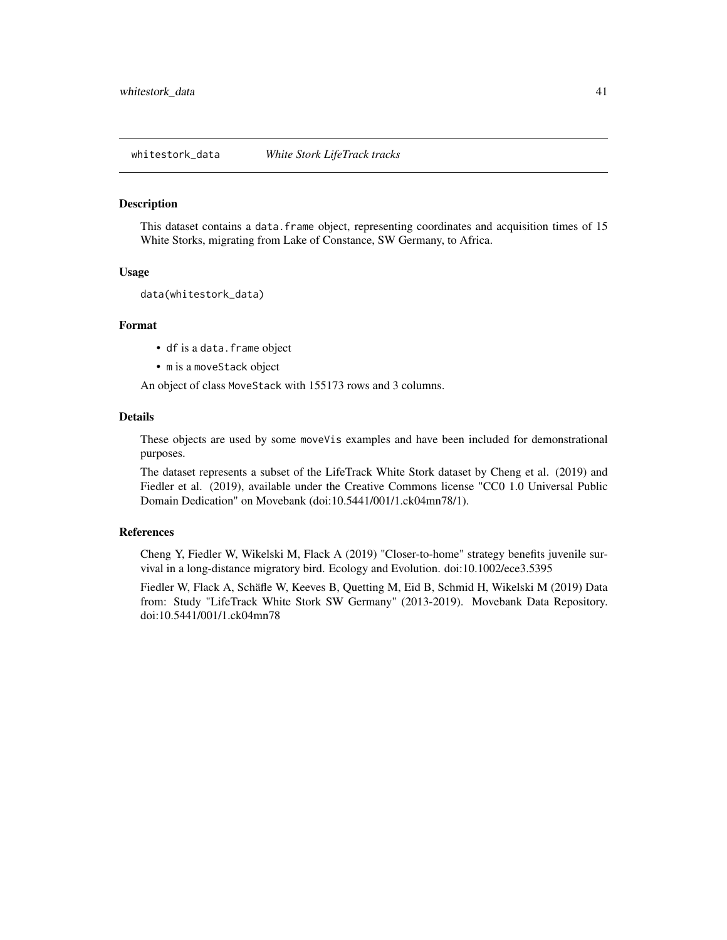<span id="page-40-0"></span>whitestork\_data *White Stork LifeTrack tracks*

#### Description

This dataset contains a data. frame object, representing coordinates and acquisition times of 15 White Storks, migrating from Lake of Constance, SW Germany, to Africa.

#### Usage

```
data(whitestork_data)
```
# Format

- df is a data.frame object
- m is a moveStack object

An object of class MoveStack with 155173 rows and 3 columns.

# Details

These objects are used by some moveVis examples and have been included for demonstrational purposes.

The dataset represents a subset of the LifeTrack White Stork dataset by Cheng et al. (2019) and Fiedler et al. (2019), available under the Creative Commons license "CC0 1.0 Universal Public Domain Dedication" on Movebank (doi:10.5441/001/1.ck04mn78/1).

#### References

Cheng Y, Fiedler W, Wikelski M, Flack A (2019) "Closer-to-home" strategy benefits juvenile survival in a long-distance migratory bird. Ecology and Evolution. doi:10.1002/ece3.5395

Fiedler W, Flack A, Schäfle W, Keeves B, Quetting M, Eid B, Schmid H, Wikelski M (2019) Data from: Study "LifeTrack White Stork SW Germany" (2013-2019). Movebank Data Repository. doi:10.5441/001/1.ck04mn78